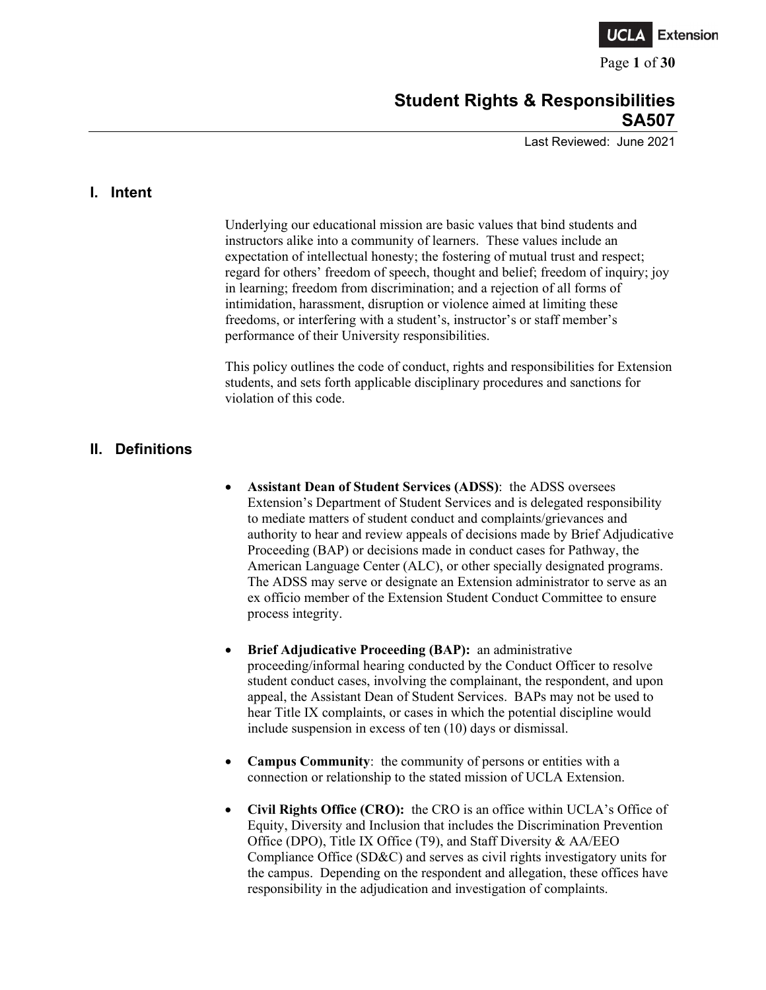

Page **1** of **30**

# **Student Rights & Responsibilities SA507**

Last Reviewed: June 2021

### **I. Intent**

Underlying our educational mission are basic values that bind students and instructors alike into a community of learners. These values include an expectation of intellectual honesty; the fostering of mutual trust and respect; regard for others' freedom of speech, thought and belief; freedom of inquiry; joy in learning; freedom from discrimination; and a rejection of all forms of intimidation, harassment, disruption or violence aimed at limiting these freedoms, or interfering with a student's, instructor's or staff member's performance of their University responsibilities.

This policy outlines the code of conduct, rights and responsibilities for Extension students, and sets forth applicable disciplinary procedures and sanctions for violation of this code.

## **II. Definitions**

- **Assistant Dean of Student Services (ADSS)**: the ADSS oversees Extension's Department of Student Services and is delegated responsibility to mediate matters of student conduct and complaints/grievances and authority to hear and review appeals of decisions made by Brief Adjudicative Proceeding (BAP) or decisions made in conduct cases for Pathway, the American Language Center (ALC), or other specially designated programs. The ADSS may serve or designate an Extension administrator to serve as an ex officio member of the Extension Student Conduct Committee to ensure process integrity.
- **Brief Adjudicative Proceeding (BAP):** an administrative proceeding/informal hearing conducted by the Conduct Officer to resolve student conduct cases, involving the complainant, the respondent, and upon appeal, the Assistant Dean of Student Services. BAPs may not be used to hear Title IX complaints, or cases in which the potential discipline would include suspension in excess of ten (10) days or dismissal.
- **Campus Community**: the community of persons or entities with a connection or relationship to the stated mission of UCLA Extension.
- **Civil Rights Office (CRO):** the CRO is an office within UCLA's Office of Equity, Diversity and Inclusion that includes the Discrimination Prevention Office (DPO), Title IX Office (T9), and Staff Diversity & AA/EEO Compliance Office (SD&C) and serves as civil rights investigatory units for the campus. Depending on the respondent and allegation, these offices have responsibility in the adjudication and investigation of complaints.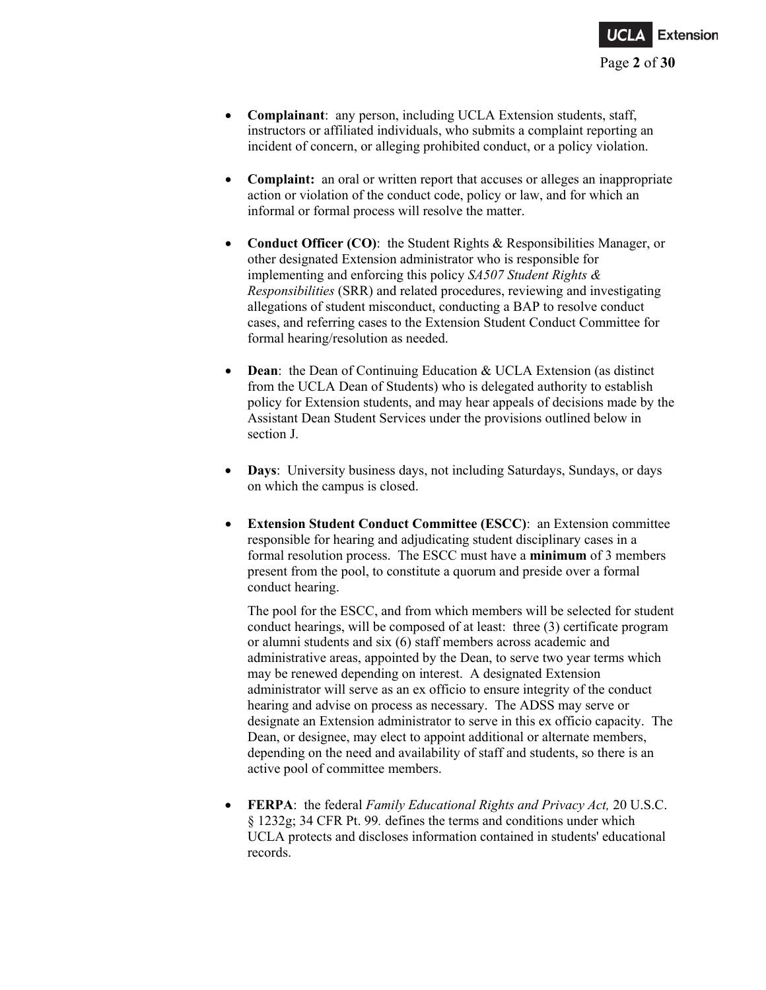

- **Complainant**: any person, including UCLA Extension students, staff, instructors or affiliated individuals, who submits a complaint reporting an incident of concern, or alleging prohibited conduct, or a policy violation.
- **Complaint:** an oral or written report that accuses or alleges an inappropriate action or violation of the conduct code, policy or law, and for which an informal or formal process will resolve the matter.
- **Conduct Officer (CO)**: the Student Rights & Responsibilities Manager, or other designated Extension administrator who is responsible for implementing and enforcing this policy *SA507 Student Rights & Responsibilities* (SRR) and related procedures, reviewing and investigating allegations of student misconduct, conducting a BAP to resolve conduct cases, and referring cases to the Extension Student Conduct Committee for formal hearing/resolution as needed.
- **Dean**: the Dean of Continuing Education & UCLA Extension (as distinct from the UCLA Dean of Students) who is delegated authority to establish policy for Extension students, and may hear appeals of decisions made by the Assistant Dean Student Services under the provisions outlined below in section J.
- **Days**: University business days, not including Saturdays, Sundays, or days on which the campus is closed.
- **Extension Student Conduct Committee (ESCC)**: an Extension committee responsible for hearing and adjudicating student disciplinary cases in a formal resolution process. The ESCC must have a **minimum** of 3 members present from the pool, to constitute a quorum and preside over a formal conduct hearing.

The pool for the ESCC, and from which members will be selected for student conduct hearings, will be composed of at least: three (3) certificate program or alumni students and six (6) staff members across academic and administrative areas, appointed by the Dean, to serve two year terms which may be renewed depending on interest. A designated Extension administrator will serve as an ex officio to ensure integrity of the conduct hearing and advise on process as necessary. The ADSS may serve or designate an Extension administrator to serve in this ex officio capacity. The Dean, or designee, may elect to appoint additional or alternate members, depending on the need and availability of staff and students, so there is an active pool of committee members.

• **FERPA**: the federal *Family Educational Rights and Privacy Act,* [20 U.S.C.](https://www.google.com/search?sxsrf=ALeKk03PHs_5QdnFE9ueenQENydXF9_pNA:1603749863619&q=20+U.S.C.&stick=H4sIAAAAAAAAAONgVuLSz9U3MLIwMzMsWMTKaWSgEKoXrOesBwBOkPs9GgAAAA&sa=X&ved=2ahUKEwiQtrfnodPsAhUJuZ4KHVKZD0AQmxMoATAgegQIIBAD) § 1232g; 34 CFR Pt. 99*.* defines the terms and conditions under which UCLA protects and discloses information contained in students' educational records.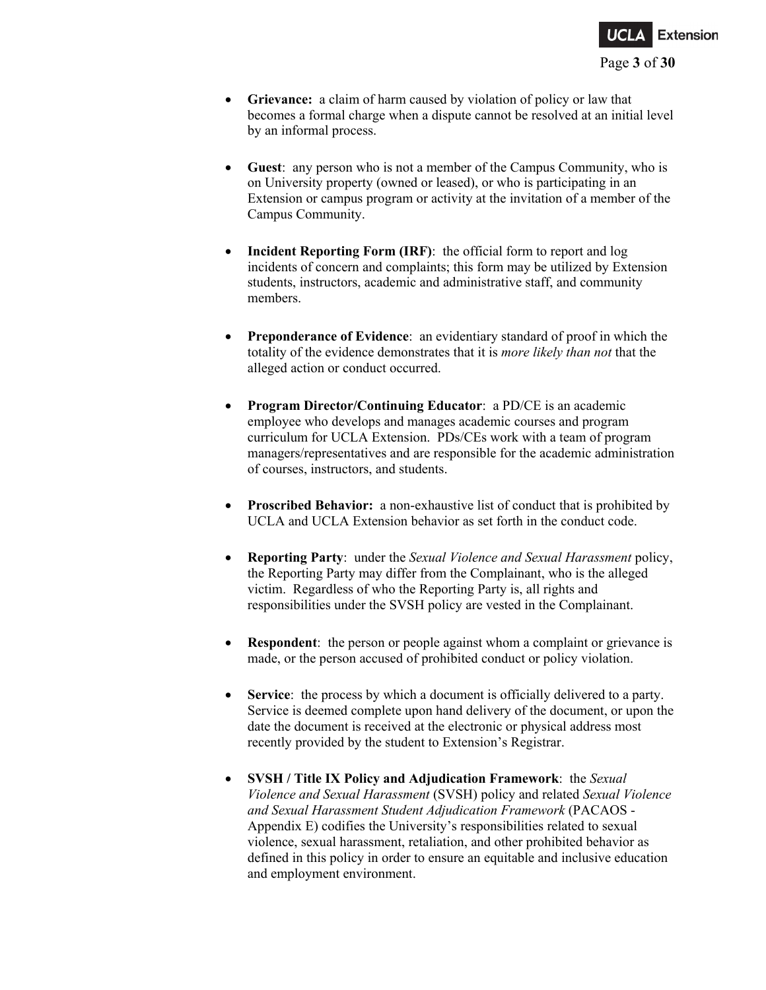

- **Grievance:** a claim of harm caused by violation of policy or law that becomes a formal charge when a dispute cannot be resolved at an initial level by an informal process.
- **Guest**: any person who is not a member of the Campus Community, who is on University property (owned or leased), or who is participating in an Extension or campus program or activity at the invitation of a member of the Campus Community.
- **Incident Reporting Form (IRF)**: the official form to report and log incidents of concern and complaints; this form may be utilized by Extension students, instructors, academic and administrative staff, and community members.
- **Preponderance of Evidence**: an evidentiary standard of proof in which the totality of the evidence demonstrates that it is *more likely than not* that the alleged action or conduct occurred.
- **Program Director/Continuing Educator**: a PD/CE is an academic employee who develops and manages academic courses and program curriculum for UCLA Extension. PDs/CEs work with a team of program managers/representatives and are responsible for the academic administration of courses, instructors, and students.
- **Proscribed Behavior:** a non-exhaustive list of conduct that is prohibited by UCLA and UCLA Extension behavior as set forth in the conduct code.
- **Reporting Party**: under the *Sexual Violence and Sexual Harassment* policy, the Reporting Party may differ from the Complainant, who is the alleged victim. Regardless of who the Reporting Party is, all rights and responsibilities under the SVSH policy are vested in the Complainant.
- **Respondent**: the person or people against whom a complaint or grievance is made, or the person accused of prohibited conduct or policy violation.
- **Service**: the process by which a document is officially delivered to a party. Service is deemed complete upon hand delivery of the document, or upon the date the document is received at the electronic or physical address most recently provided by the student to Extension's Registrar.
- **SVSH / Title IX Policy and Adjudication Framework**: the *Sexual Violence and Sexual Harassment* (SVSH) policy and related *Sexual Violence and Sexual Harassment Student Adjudication Framework* (PACAOS - Appendix E) codifies the University's responsibilities related to sexual violence, sexual harassment, retaliation, and other prohibited behavior as defined in this policy in order to ensure an equitable and inclusive education and employment environment.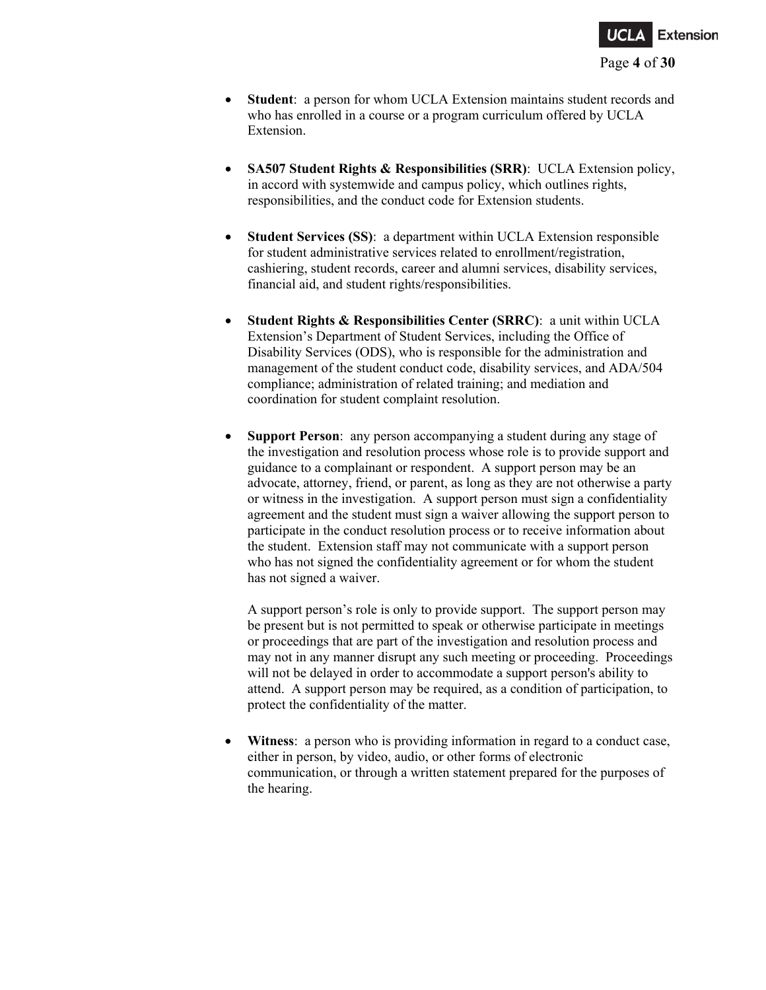

- **Student**: a person for whom UCLA Extension maintains student records and who has enrolled in a course or a program curriculum offered by UCLA Extension.
- **SA507 Student Rights & Responsibilities (SRR)**: UCLA Extension policy, in accord with systemwide and campus policy, which outlines rights, responsibilities, and the conduct code for Extension students.
- **Student Services (SS)**: a department within UCLA Extension responsible for student administrative services related to enrollment/registration, cashiering, student records, career and alumni services, disability services, financial aid, and student rights/responsibilities.
- **Student Rights & Responsibilities Center (SRRC)**: a unit within UCLA Extension's Department of Student Services, including the Office of Disability Services (ODS), who is responsible for the administration and management of the student conduct code, disability services, and ADA/504 compliance; administration of related training; and mediation and coordination for student complaint resolution.
- **Support Person**: any person accompanying a student during any stage of the investigation and resolution process whose role is to provide support and guidance to a complainant or respondent. A support person may be an advocate, attorney, friend, or parent, as long as they are not otherwise a party or witness in the investigation. A support person must sign a confidentiality agreement and the student must sign a waiver allowing the support person to participate in the conduct resolution process or to receive information about the student. Extension staff may not communicate with a support person who has not signed the confidentiality agreement or for whom the student has not signed a waiver.

A support person's role is only to provide support. The support person may be present but is not permitted to speak or otherwise participate in meetings or proceedings that are part of the investigation and resolution process and may not in any manner disrupt any such meeting or proceeding. Proceedings will not be delayed in order to accommodate a support person's ability to attend. A support person may be required, as a condition of participation, to protect the confidentiality of the matter.

• **Witness**: a person who is providing information in regard to a conduct case, either in person, by video, audio, or other forms of electronic communication, or through a written statement prepared for the purposes of the hearing.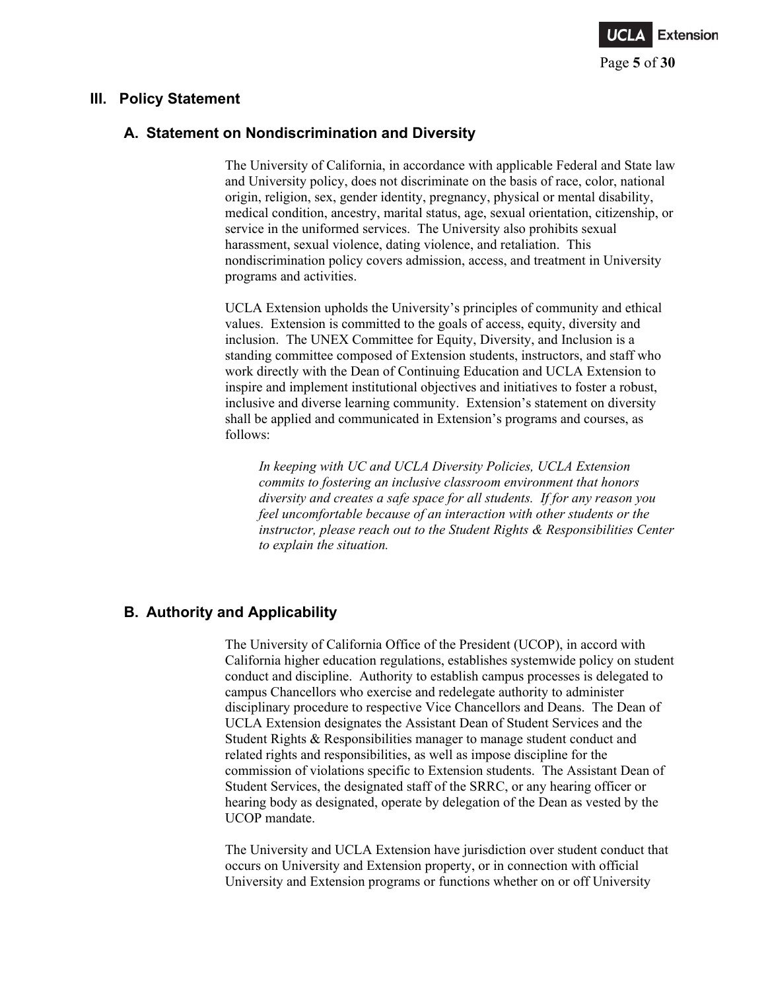

### **III. Policy Statement**

## **A. Statement on Nondiscrimination and Diversity**

The University of California, in accordance with applicable Federal and State law and University policy, does not discriminate on the basis of race, color, national origin, religion, sex, gender identity, pregnancy, physical or mental disability, medical condition, ancestry, marital status, age, sexual orientation, citizenship, or service in the uniformed services. The University also prohibits sexual harassment, sexual violence, dating violence, and retaliation. This nondiscrimination policy covers admission, access, and treatment in University programs and activities.

UCLA Extension upholds the University's principles of community and ethical values. Extension is committed to the goals of access, equity, diversity and inclusion. The UNEX Committee for Equity, Diversity, and Inclusion is a standing committee composed of Extension students, instructors, and staff who work directly with the Dean of Continuing Education and UCLA Extension to inspire and implement institutional objectives and initiatives to foster a robust, inclusive and diverse learning community. Extension's statement on diversity shall be applied and communicated in Extension's programs and courses, as follows:

*In keeping with UC and UCLA Diversity Policies, UCLA Extension commits to fostering an inclusive classroom environment that honors diversity and creates a safe space for all students. If for any reason you feel uncomfortable because of an interaction with other students or the instructor, please reach out to the Student Rights & Responsibilities Center to explain the situation.*

# **B. Authority and Applicability**

The University of California Office of the President (UCOP), in accord with California higher education regulations, establishes systemwide policy on student conduct and discipline. Authority to establish campus processes is delegated to campus Chancellors who exercise and redelegate authority to administer disciplinary procedure to respective Vice Chancellors and Deans. The Dean of UCLA Extension designates the Assistant Dean of Student Services and the Student Rights & Responsibilities manager to manage student conduct and related rights and responsibilities, as well as impose discipline for the commission of violations specific to Extension students. The Assistant Dean of Student Services, the designated staff of the SRRC, or any hearing officer or hearing body as designated, operate by delegation of the Dean as vested by the UCOP mandate.

The University and UCLA Extension have jurisdiction over student conduct that occurs on University and Extension property, or in connection with official University and Extension programs or functions whether on or off University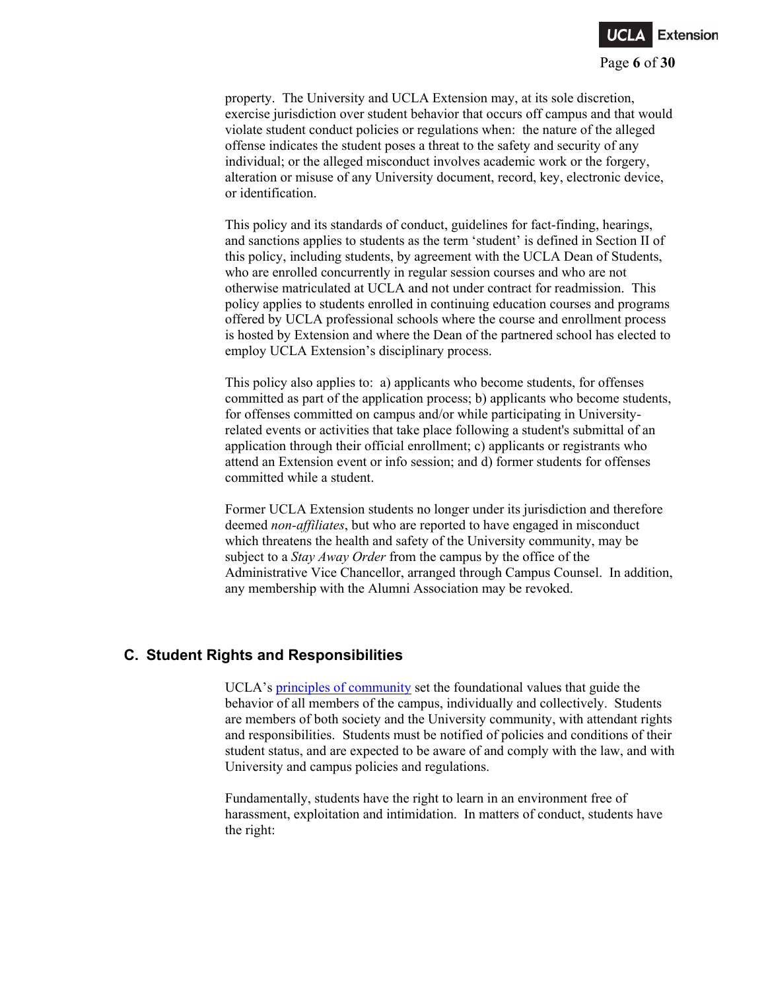

property. The University and UCLA Extension may, at its sole discretion, exercise jurisdiction over student behavior that occurs off campus and that would violate student conduct policies or regulations when: the nature of the alleged offense indicates the student poses a threat to the safety and security of any individual; or the alleged misconduct involves academic work or the forgery, alteration or misuse of any University document, record, key, electronic device, or identification.

This policy and its standards of conduct, guidelines for fact-finding, hearings, and sanctions applies to students as the term 'student' is defined in Section II of this policy, including students, by agreement with the UCLA Dean of Students, who are enrolled concurrently in regular session courses and who are not otherwise matriculated at UCLA and not under contract for readmission. This policy applies to students enrolled in continuing education courses and programs offered by UCLA professional schools where the course and enrollment process is hosted by Extension and where the Dean of the partnered school has elected to employ UCLA Extension's disciplinary process.

This policy also applies to: a) applicants who become students, for offenses committed as part of the application process; b) applicants who become students, for offenses committed on campus and/or while participating in Universityrelated events or activities that take place following a student's submittal of an application through their official enrollment; c) applicants or registrants who attend an Extension event or info session; and d) former students for offenses committed while a student.

Former UCLA Extension students no longer under its jurisdiction and therefore deemed *non-affiliates*, but who are reported to have engaged in misconduct which threatens the health and safety of the University community, may be subject to a *Stay Away Order* from the campus by the office of the Administrative Vice Chancellor, arranged through Campus Counsel. In addition, any membership with the Alumni Association may be revoked.

## **C. Student Rights and Responsibilities**

UCLA's [principles of community](https://www.ucla.edu/about/mission-and-values) set the foundational values that guide the behavior of all members of the campus, individually and collectively. Students are members of both society and the University community, with attendant rights and responsibilities. Students must be notified of policies and conditions of their student status, and are expected to be aware of and comply with the law, and with University and campus policies and regulations.

Fundamentally, students have the right to learn in an environment free of harassment, exploitation and intimidation. In matters of conduct, students have the right: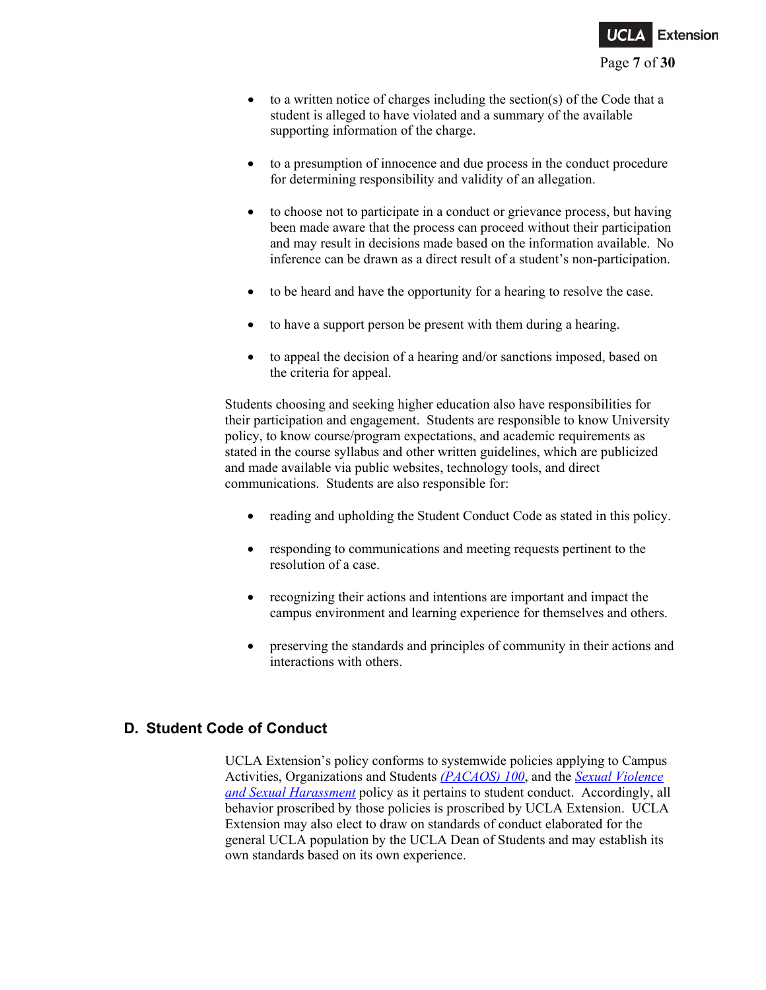

- $\bullet$  to a written notice of charges including the section(s) of the Code that a student is alleged to have violated and a summary of the available supporting information of the charge.
- to a presumption of innocence and due process in the conduct procedure for determining responsibility and validity of an allegation.
- to choose not to participate in a conduct or grievance process, but having been made aware that the process can proceed without their participation and may result in decisions made based on the information available. No inference can be drawn as a direct result of a student's non-participation.
- to be heard and have the opportunity for a hearing to resolve the case.
- to have a support person be present with them during a hearing.
- to appeal the decision of a hearing and/or sanctions imposed, based on the criteria for appeal.

Students choosing and seeking higher education also have responsibilities for their participation and engagement. Students are responsible to know University policy, to know course/program expectations, and academic requirements as stated in the course syllabus and other written guidelines, which are publicized and made available via public websites, technology tools, and direct communications. Students are also responsible for:

- reading and upholding the Student Conduct Code as stated in this policy.
- responding to communications and meeting requests pertinent to the resolution of a case.
- recognizing their actions and intentions are important and impact the campus environment and learning experience for themselves and others.
- preserving the standards and principles of community in their actions and interactions with others.

## **D. Student Code of Conduct**

UCLA Extension's policy conforms to systemwide policies applying to Campus Activities, Organizations and Students *[\(PACAOS\) 100](https://policy.ucop.edu/doc/2710530/PACAOS-100)*, and the *[Sexual Violence](http://policy.ucop.edu/doc/4000385/SHSV)  [and Sexual Harassment](http://policy.ucop.edu/doc/4000385/SHSV)* policy as it pertains to student conduct. Accordingly, all behavior proscribed by those policies is proscribed by UCLA Extension. UCLA Extension may also elect to draw on standards of conduct elaborated for the general UCLA population by the UCLA Dean of Students and may establish its own standards based on its own experience.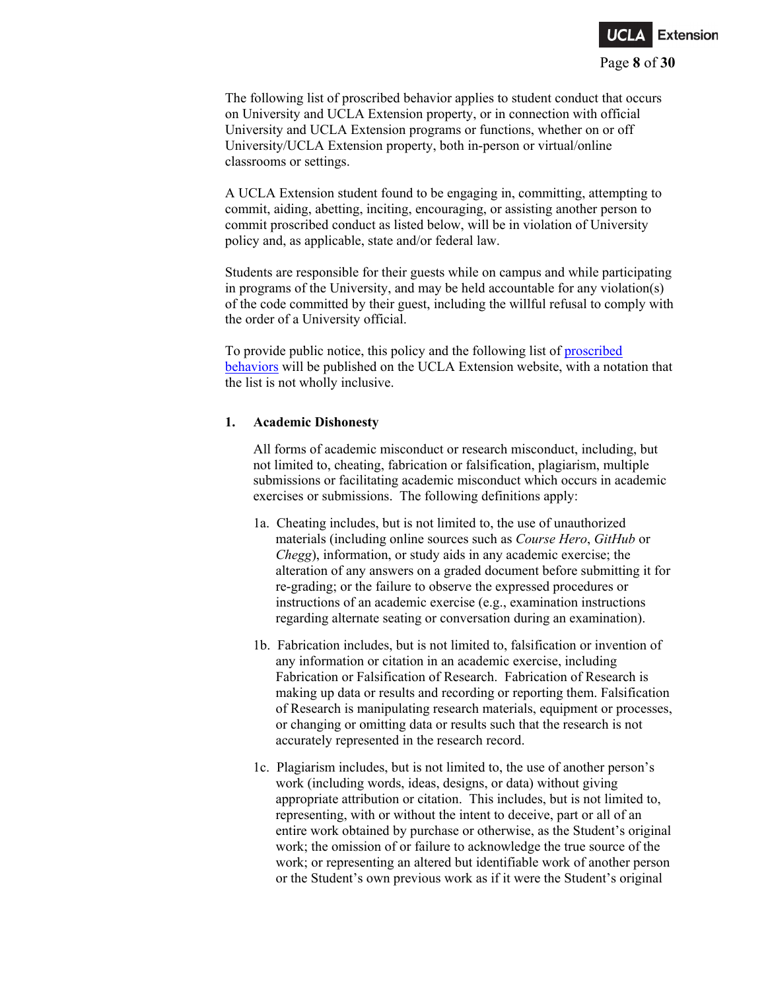

The following list of proscribed behavior applies to student conduct that occurs on University and UCLA Extension property, or in connection with official University and UCLA Extension programs or functions, whether on or off University/UCLA Extension property, both in-person or virtual/online classrooms or settings.

A UCLA Extension student found to be engaging in, committing, attempting to commit, aiding, abetting, inciting, encouraging, or assisting another person to commit proscribed conduct as listed below, will be in violation of University policy and, as applicable, state and/or federal law.

Students are responsible for their guests while on campus and while participating in programs of the University, and may be held accountable for any violation(s) of the code committed by their guest, including the willful refusal to comply with the order of a University official.

To provide public notice, this policy and the following list of [proscribed](https://www.uclaextension.edu/student-services/rights-and-responsibilities)  [behaviors](https://www.uclaextension.edu/student-services/rights-and-responsibilities) will be published on the UCLA Extension website, with a notation that the list is not wholly inclusive.

#### **1. Academic Dishonesty**

All forms of academic misconduct or research misconduct, including, but not limited to, cheating, fabrication or falsification, plagiarism, multiple submissions or facilitating academic misconduct which occurs in academic exercises or submissions. The following definitions apply:

- 1a. Cheating includes, but is not limited to, the use of unauthorized materials (including online sources such as *Course Hero*, *GitHub* or *Chegg*), information, or study aids in any academic exercise; the alteration of any answers on a graded document before submitting it for re-grading; or the failure to observe the expressed procedures or instructions of an academic exercise (e.g., examination instructions regarding alternate seating or conversation during an examination).
- 1b. Fabrication includes, but is not limited to, falsification or invention of any information or citation in an academic exercise, including Fabrication or Falsification of Research. Fabrication of Research is making up data or results and recording or reporting them. Falsification of Research is manipulating research materials, equipment or processes, or changing or omitting data or results such that the research is not accurately represented in the research record.
- 1c. Plagiarism includes, but is not limited to, the use of another person's work (including words, ideas, designs, or data) without giving appropriate attribution or citation. This includes, but is not limited to, representing, with or without the intent to deceive, part or all of an entire work obtained by purchase or otherwise, as the Student's original work; the omission of or failure to acknowledge the true source of the work; or representing an altered but identifiable work of another person or the Student's own previous work as if it were the Student's original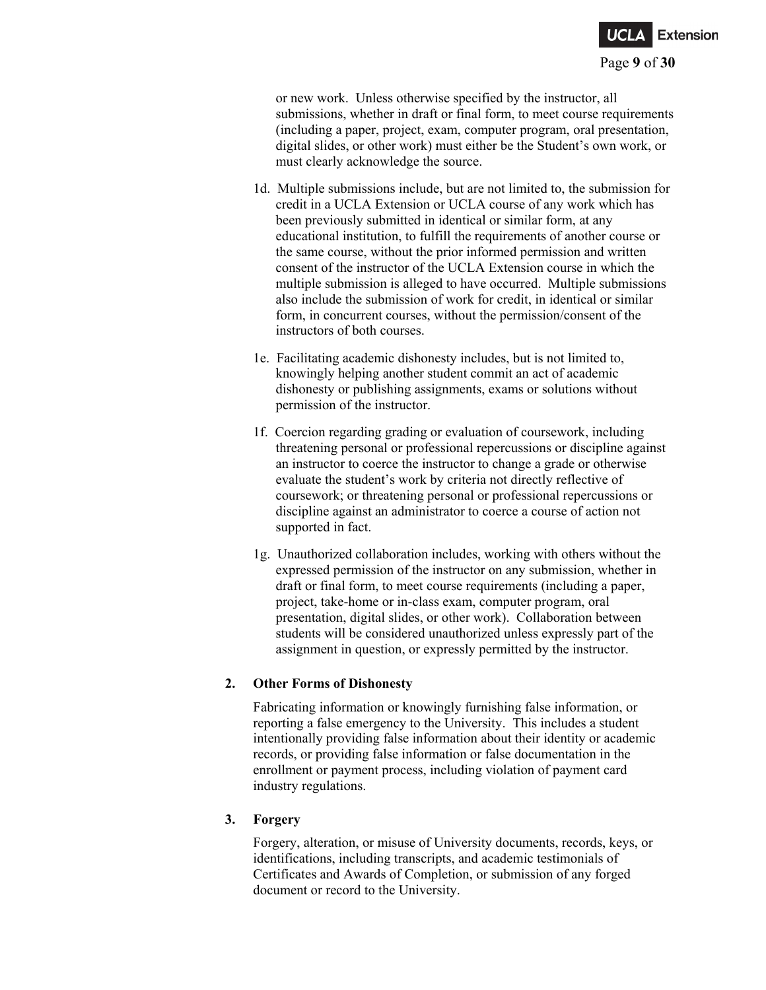

or new work. Unless otherwise specified by the instructor, all submissions, whether in draft or final form, to meet course requirements (including a paper, project, exam, computer program, oral presentation, digital slides, or other work) must either be the Student's own work, or must clearly acknowledge the source.

- 1d. Multiple submissions include, but are not limited to, the submission for credit in a UCLA Extension or UCLA course of any work which has been previously submitted in identical or similar form, at any educational institution, to fulfill the requirements of another course or the same course, without the prior informed permission and written consent of the instructor of the UCLA Extension course in which the multiple submission is alleged to have occurred. Multiple submissions also include the submission of work for credit, in identical or similar form, in concurrent courses, without the permission/consent of the instructors of both courses.
- 1e. Facilitating academic dishonesty includes, but is not limited to, knowingly helping another student commit an act of academic dishonesty or publishing assignments, exams or solutions without permission of the instructor.
- 1f. Coercion regarding grading or evaluation of coursework, including threatening personal or professional repercussions or discipline against an instructor to coerce the instructor to change a grade or otherwise evaluate the student's work by criteria not directly reflective of coursework; or threatening personal or professional repercussions or discipline against an administrator to coerce a course of action not supported in fact.
- 1g. Unauthorized collaboration includes, working with others without the expressed permission of the instructor on any submission, whether in draft or final form, to meet course requirements (including a paper, project, take-home or in-class exam, computer program, oral presentation, digital slides, or other work). Collaboration between students will be considered unauthorized unless expressly part of the assignment in question, or expressly permitted by the instructor.

### **2. Other Forms of Dishonesty**

Fabricating information or knowingly furnishing false information, or reporting a false emergency to the University. This includes a student intentionally providing false information about their identity or academic records, or providing false information or false documentation in the enrollment or payment process, including violation of payment card industry regulations.

#### **3. Forgery**

Forgery, alteration, or misuse of University documents, records, keys, or identifications, including transcripts, and academic testimonials of Certificates and Awards of Completion, or submission of any forged document or record to the University.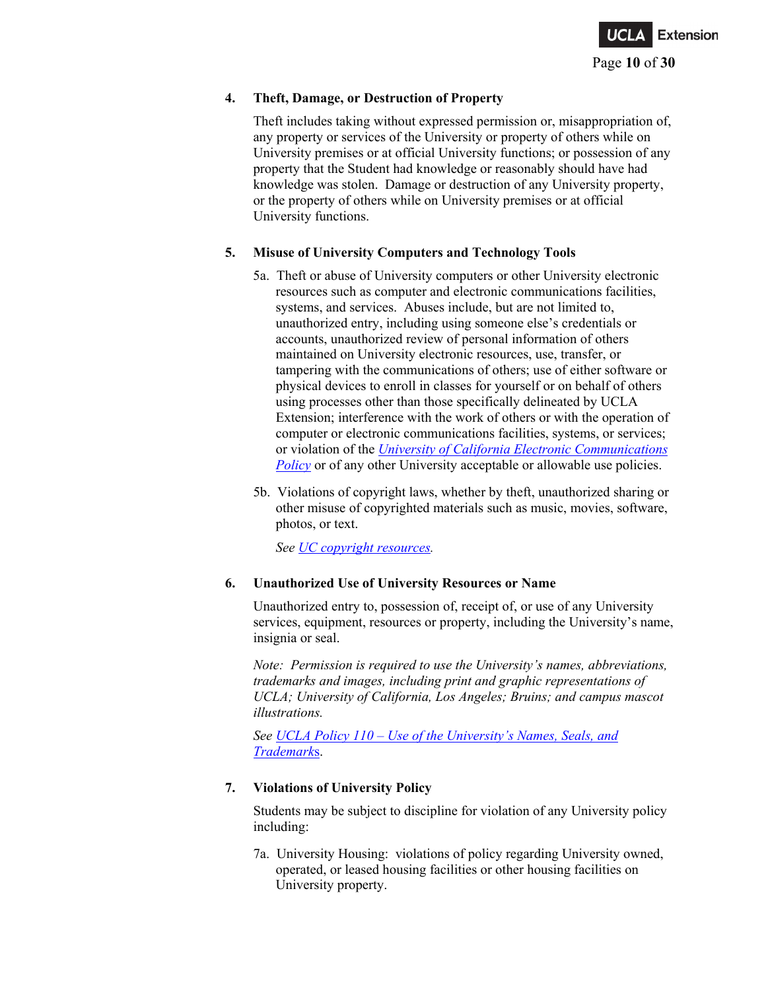

### **4. Theft, Damage, or Destruction of Property**

Theft includes taking without expressed permission or, misappropriation of, any property or services of the University or property of others while on University premises or at official University functions; or possession of any property that the Student had knowledge or reasonably should have had knowledge was stolen. Damage or destruction of any University property, or the property of others while on University premises or at official University functions.

### **5. Misuse of University Computers and Technology Tools**

- 5a. Theft or abuse of University computers or other University electronic resources such as computer and electronic communications facilities, systems, and services. Abuses include, but are not limited to, unauthorized entry, including using someone else's credentials or accounts, unauthorized review of personal information of others maintained on University electronic resources, use, transfer, or tampering with the communications of others; use of either software or physical devices to enroll in classes for yourself or on behalf of others using processes other than those specifically delineated by UCLA Extension; interference with the work of others or with the operation of computer or electronic communications facilities, systems, or services; or violation of the *[University of California Electronic Communications](https://policy.ucop.edu/doc/7000470/ElectronicCommunications)  [Policy](https://policy.ucop.edu/doc/7000470/ElectronicCommunications)* or of any other University acceptable or allowable use policies.
- 5b. Violations of copyright laws, whether by theft, unauthorized sharing or other misuse of copyrighted materials such as music, movies, software, photos, or text.

*See [UC copyright resources.](https://copyright.universityofcalifornia.edu/)*

## **6. Unauthorized Use of University Resources or Name**

Unauthorized entry to, possession of, receipt of, or use of any University services, equipment, resources or property, including the University's name, insignia or seal.

*Note: Permission is required to use the University's names, abbreviations, trademarks and images, including print and graphic representations of UCLA; University of California, Los Angeles; Bruins; and campus mascot illustrations.*

*See UCLA Policy 110 – [Use of the University's Names, Seals, and](http://www.adminpolicies.ucla.edu/pdf/110.pdf)  [Trademark](http://www.adminpolicies.ucla.edu/pdf/110.pdf)*s.

## **7. Violations of University Policy**

Students may be subject to discipline for violation of any University policy including:

7a. University Housing: violations of policy regarding University owned, operated, or leased housing facilities or other housing facilities on University property.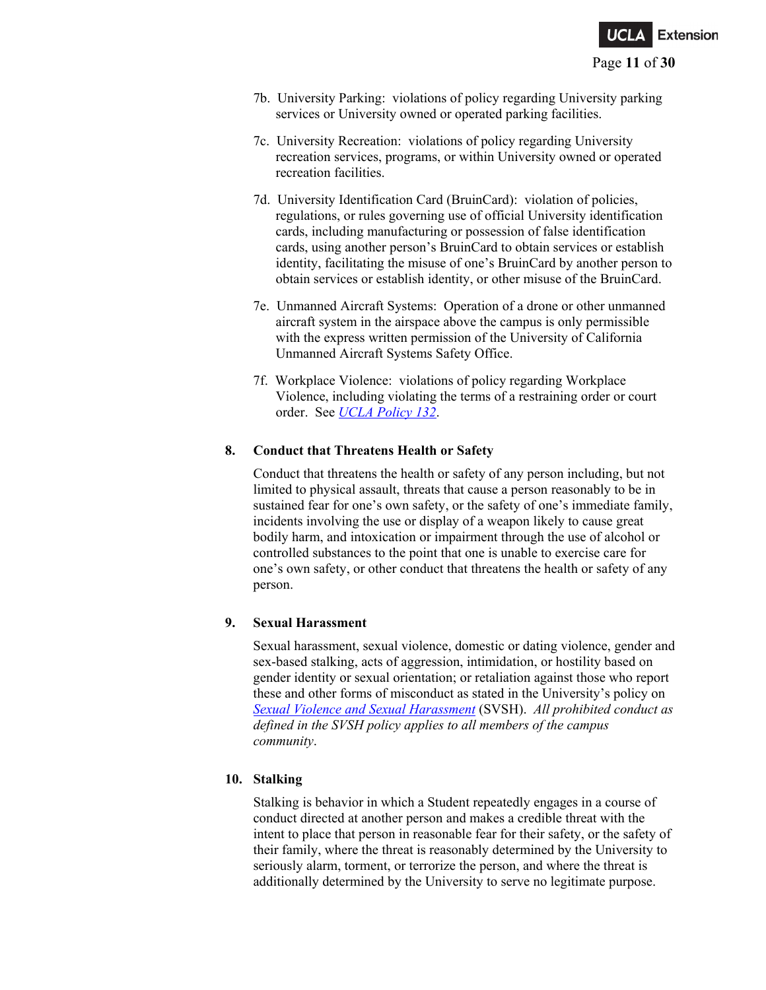

- 7b. University Parking: violations of policy regarding University parking services or University owned or operated parking facilities.
- 7c. University Recreation: violations of policy regarding University recreation services, programs, or within University owned or operated recreation facilities.
- 7d. University Identification Card (BruinCard): violation of policies, regulations, or rules governing use of official University identification cards, including manufacturing or possession of false identification cards, using another person's BruinCard to obtain services or establish identity, facilitating the misuse of one's BruinCard by another person to obtain services or establish identity, or other misuse of the BruinCard.
- 7e. Unmanned Aircraft Systems: Operation of a drone or other unmanned aircraft system in the airspace above the campus is only permissible with the express written permission of the University of California Unmanned Aircraft Systems Safety Office.
- 7f. Workplace Violence: violations of policy regarding Workplace Violence, including violating the terms of a restraining order or court order. See *[UCLA Policy 132](http://www.adminpolicies.ucla.edu/pdf/132.pdf)*.

### **8. Conduct that Threatens Health or Safety**

Conduct that threatens the health or safety of any person including, but not limited to physical assault, threats that cause a person reasonably to be in sustained fear for one's own safety, or the safety of one's immediate family, incidents involving the use or display of a weapon likely to cause great bodily harm, and intoxication or impairment through the use of alcohol or controlled substances to the point that one is unable to exercise care for one's own safety, or other conduct that threatens the health or safety of any person.

### **9. Sexual Harassment**

Sexual harassment, sexual violence, domestic or dating violence, gender and sex-based stalking, acts of aggression, intimidation, or hostility based on gender identity or sexual orientation; or retaliation against those who report these and other forms of misconduct as stated in the University's policy on *[Sexual Violence and Sexual Harassment](https://policy.ucop.edu/doc/4000385/SVSH)* (SVSH). *All prohibited conduct as defined in the SVSH policy applies to all members of the campus community*.

### **10. Stalking**

Stalking is behavior in which a Student repeatedly engages in a course of conduct directed at another person and makes a credible threat with the intent to place that person in reasonable fear for their safety, or the safety of their family, where the threat is reasonably determined by the University to seriously alarm, torment, or terrorize the person, and where the threat is additionally determined by the University to serve no legitimate purpose.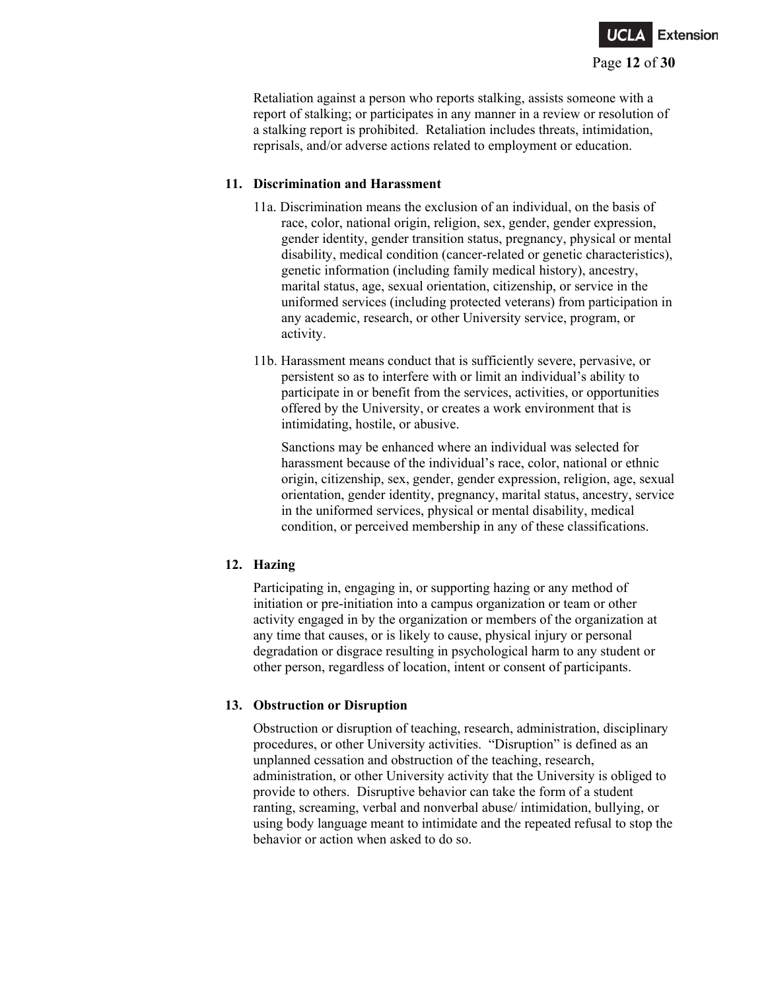

Retaliation against a person who reports stalking, assists someone with a report of stalking; or participates in any manner in a review or resolution of a stalking report is prohibited. Retaliation includes threats, intimidation, reprisals, and/or adverse actions related to employment or education.

#### **11. Discrimination and Harassment**

- 11a. Discrimination means the exclusion of an individual, on the basis of race, color, national origin, religion, sex, gender, gender expression, gender identity, gender transition status, pregnancy, physical or mental disability, medical condition (cancer-related or genetic characteristics), genetic information (including family medical history), ancestry, marital status, age, sexual orientation, citizenship, or service in the uniformed services (including protected veterans) from participation in any academic, research, or other University service, program, or activity.
- 11b. Harassment means conduct that is sufficiently severe, pervasive, or persistent so as to interfere with or limit an individual's ability to participate in or benefit from the services, activities, or opportunities offered by the University, or creates a work environment that is intimidating, hostile, or abusive.

Sanctions may be enhanced where an individual was selected for harassment because of the individual's race, color, national or ethnic origin, citizenship, sex, gender, gender expression, religion, age, sexual orientation, gender identity, pregnancy, marital status, ancestry, service in the uniformed services, physical or mental disability, medical condition, or perceived membership in any of these classifications.

### **12. Hazing**

Participating in, engaging in, or supporting hazing or any method of initiation or pre-initiation into a campus organization or team or other activity engaged in by the organization or members of the organization at any time that causes, or is likely to cause, physical injury or personal degradation or disgrace resulting in psychological harm to any student or other person, regardless of location, intent or consent of participants.

### **13. Obstruction or Disruption**

Obstruction or disruption of teaching, research, administration, disciplinary procedures, or other University activities. "Disruption" is defined as an unplanned cessation and obstruction of the teaching, research, administration, or other University activity that the University is obliged to provide to others. Disruptive behavior can take the form of a student ranting, screaming, verbal and nonverbal abuse/ intimidation, bullying, or using body language meant to intimidate and the repeated refusal to stop the behavior or action when asked to do so.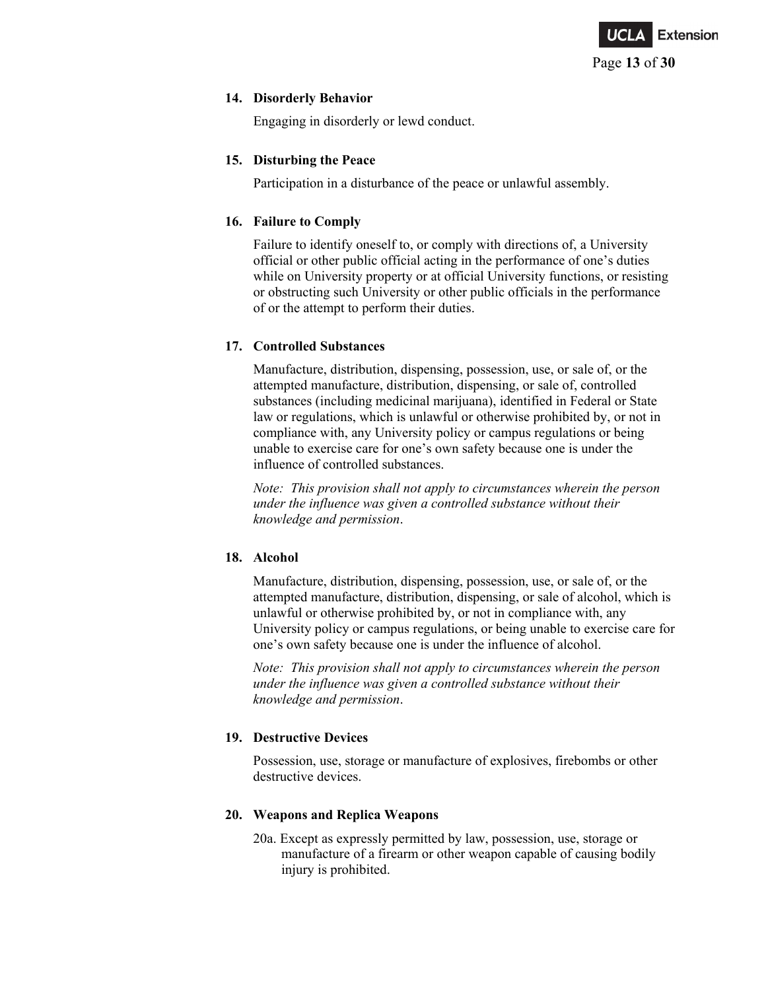

#### **14. Disorderly Behavior**

Engaging in disorderly or lewd conduct.

### **15. Disturbing the Peace**

Participation in a disturbance of the peace or unlawful assembly.

### **16. Failure to Comply**

Failure to identify oneself to, or comply with directions of, a University official or other public official acting in the performance of one's duties while on University property or at official University functions, or resisting or obstructing such University or other public officials in the performance of or the attempt to perform their duties.

## **17. Controlled Substances**

Manufacture, distribution, dispensing, possession, use, or sale of, or the attempted manufacture, distribution, dispensing, or sale of, controlled substances (including medicinal marijuana), identified in Federal or State law or regulations, which is unlawful or otherwise prohibited by, or not in compliance with, any University policy or campus regulations or being unable to exercise care for one's own safety because one is under the influence of controlled substances.

*Note: This provision shall not apply to circumstances wherein the person under the influence was given a controlled substance without their knowledge and permission*.

### **18. Alcohol**

Manufacture, distribution, dispensing, possession, use, or sale of, or the attempted manufacture, distribution, dispensing, or sale of alcohol, which is unlawful or otherwise prohibited by, or not in compliance with, any University policy or campus regulations, or being unable to exercise care for one's own safety because one is under the influence of alcohol.

*Note: This provision shall not apply to circumstances wherein the person under the influence was given a controlled substance without their knowledge and permission*.

## **19. Destructive Devices**

Possession, use, storage or manufacture of explosives, firebombs or other destructive devices.

## **20. Weapons and Replica Weapons**

20a. Except as expressly permitted by law, possession, use, storage or manufacture of a firearm or other weapon capable of causing bodily injury is prohibited.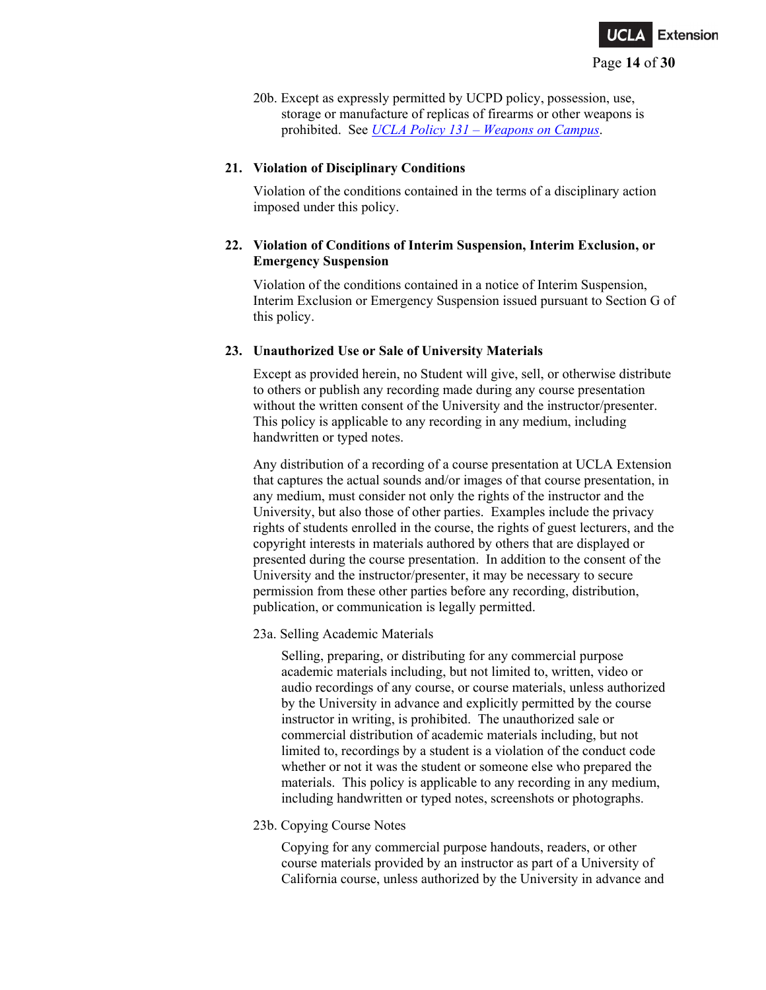

20b. Except as expressly permitted by UCPD policy, possession, use, storage or manufacture of replicas of firearms or other weapons is prohibited. See *UCLA Policy 131 – [Weapons on Campus](http://www.adminpolicies.ucla.edu/pdf/131.pdf)*.

#### **21. Violation of Disciplinary Conditions**

Violation of the conditions contained in the terms of a disciplinary action imposed under this policy.

### **22. Violation of Conditions of Interim Suspension, Interim Exclusion, or Emergency Suspension**

Violation of the conditions contained in a notice of Interim Suspension, Interim Exclusion or Emergency Suspension issued pursuant to Section G of this policy.

#### **23. Unauthorized Use or Sale of University Materials**

Except as provided herein, no Student will give, sell, or otherwise distribute to others or publish any recording made during any course presentation without the written consent of the University and the instructor/presenter. This policy is applicable to any recording in any medium, including handwritten or typed notes.

Any distribution of a recording of a course presentation at UCLA Extension that captures the actual sounds and/or images of that course presentation, in any medium, must consider not only the rights of the instructor and the University, but also those of other parties. Examples include the privacy rights of students enrolled in the course, the rights of guest lecturers, and the copyright interests in materials authored by others that are displayed or presented during the course presentation. In addition to the consent of the University and the instructor/presenter, it may be necessary to secure permission from these other parties before any recording, distribution, publication, or communication is legally permitted.

#### 23a. Selling Academic Materials

Selling, preparing, or distributing for any commercial purpose academic materials including, but not limited to, written, video or audio recordings of any course, or course materials, unless authorized by the University in advance and explicitly permitted by the course instructor in writing, is prohibited. The unauthorized sale or commercial distribution of academic materials including, but not limited to, recordings by a student is a violation of the conduct code whether or not it was the student or someone else who prepared the materials. This policy is applicable to any recording in any medium, including handwritten or typed notes, screenshots or photographs.

#### 23b. Copying Course Notes

Copying for any commercial purpose handouts, readers, or other course materials provided by an instructor as part of a University of California course, unless authorized by the University in advance and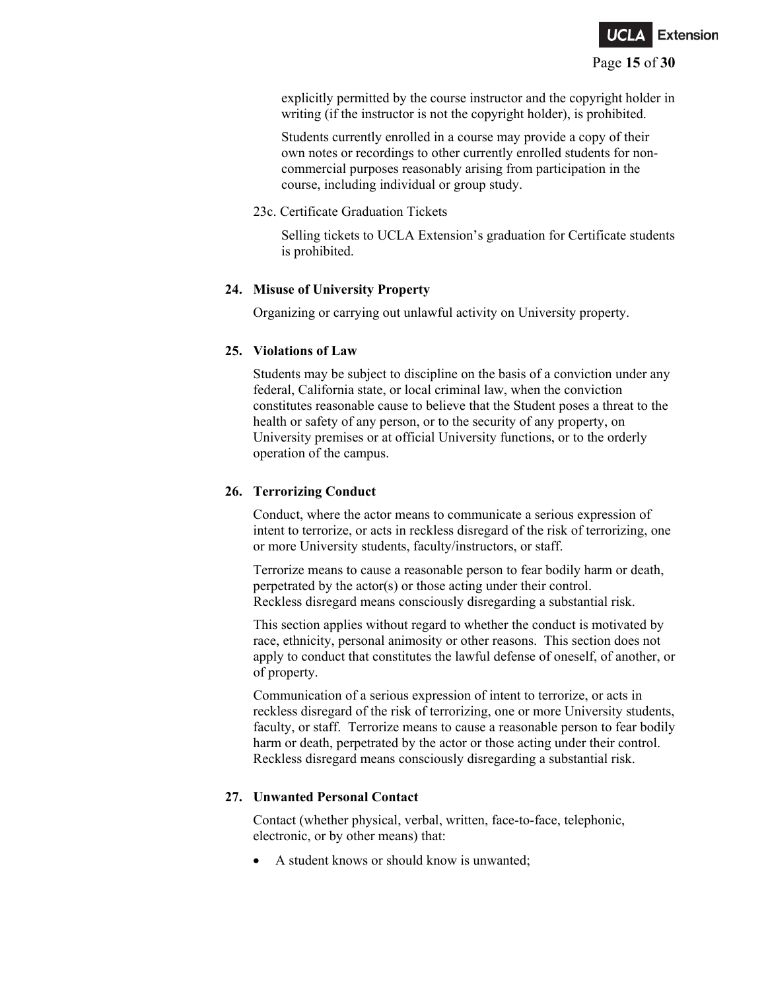

explicitly permitted by the course instructor and the copyright holder in writing (if the instructor is not the copyright holder), is prohibited.

Students currently enrolled in a course may provide a copy of their own notes or recordings to other currently enrolled students for noncommercial purposes reasonably arising from participation in the course, including individual or group study.

#### 23c. Certificate Graduation Tickets

Selling tickets to UCLA Extension's graduation for Certificate students is prohibited.

### **24. Misuse of University Property**

Organizing or carrying out unlawful activity on University property.

#### **25. Violations of Law**

Students may be subject to discipline on the basis of a conviction under any federal, California state, or local criminal law, when the conviction constitutes reasonable cause to believe that the Student poses a threat to the health or safety of any person, or to the security of any property, on University premises or at official University functions, or to the orderly operation of the campus.

### **26. Terrorizing Conduct**

Conduct, where the actor means to communicate a serious expression of intent to terrorize, or acts in reckless disregard of the risk of terrorizing, one or more University students, faculty/instructors, or staff.

Terrorize means to cause a reasonable person to fear bodily harm or death, perpetrated by the actor(s) or those acting under their control. Reckless disregard means consciously disregarding a substantial risk.

This section applies without regard to whether the conduct is motivated by race, ethnicity, personal animosity or other reasons. This section does not apply to conduct that constitutes the lawful defense of oneself, of another, or of property.

Communication of a serious expression of intent to terrorize, or acts in reckless disregard of the risk of terrorizing, one or more University students, faculty, or staff. Terrorize means to cause a reasonable person to fear bodily harm or death, perpetrated by the actor or those acting under their control. Reckless disregard means consciously disregarding a substantial risk.

### **27. Unwanted Personal Contact**

Contact (whether physical, verbal, written, face-to-face, telephonic, electronic, or by other means) that:

• A student knows or should know is unwanted;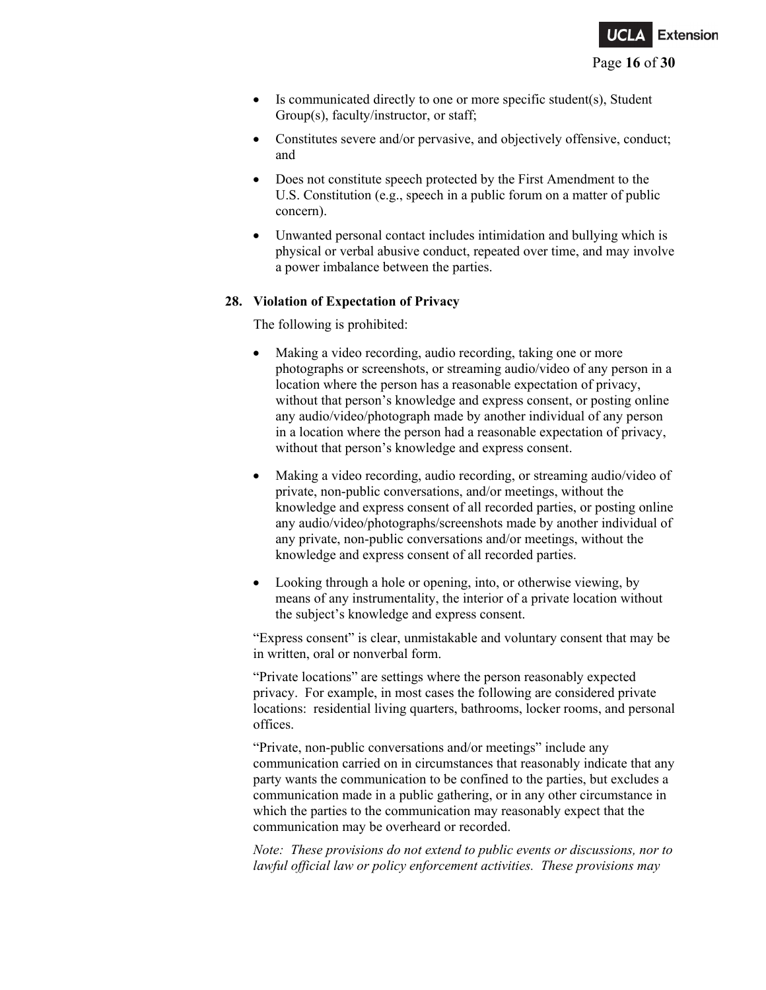

- Is communicated directly to one or more specific student(s), Student Group(s), faculty/instructor, or staff;
- Constitutes severe and/or pervasive, and objectively offensive, conduct; and
- Does not constitute speech protected by the First Amendment to the U.S. Constitution (e.g., speech in a public forum on a matter of public concern).
- Unwanted personal contact includes intimidation and bullying which is physical or verbal abusive conduct, repeated over time, and may involve a power imbalance between the parties.

#### **28. Violation of Expectation of Privacy**

The following is prohibited:

- Making a video recording, audio recording, taking one or more photographs or screenshots, or streaming audio/video of any person in a location where the person has a reasonable expectation of privacy, without that person's knowledge and express consent, or posting online any audio/video/photograph made by another individual of any person in a location where the person had a reasonable expectation of privacy, without that person's knowledge and express consent.
- Making a video recording, audio recording, or streaming audio/video of private, non-public conversations, and/or meetings, without the knowledge and express consent of all recorded parties, or posting online any audio/video/photographs/screenshots made by another individual of any private, non-public conversations and/or meetings, without the knowledge and express consent of all recorded parties.
- Looking through a hole or opening, into, or otherwise viewing, by means of any instrumentality, the interior of a private location without the subject's knowledge and express consent.

"Express consent" is clear, unmistakable and voluntary consent that may be in written, oral or nonverbal form.

"Private locations" are settings where the person reasonably expected privacy. For example, in most cases the following are considered private locations: residential living quarters, bathrooms, locker rooms, and personal offices.

"Private, non-public conversations and/or meetings" include any communication carried on in circumstances that reasonably indicate that any party wants the communication to be confined to the parties, but excludes a communication made in a public gathering, or in any other circumstance in which the parties to the communication may reasonably expect that the communication may be overheard or recorded.

*Note: These provisions do not extend to public events or discussions, nor to lawful official law or policy enforcement activities. These provisions may*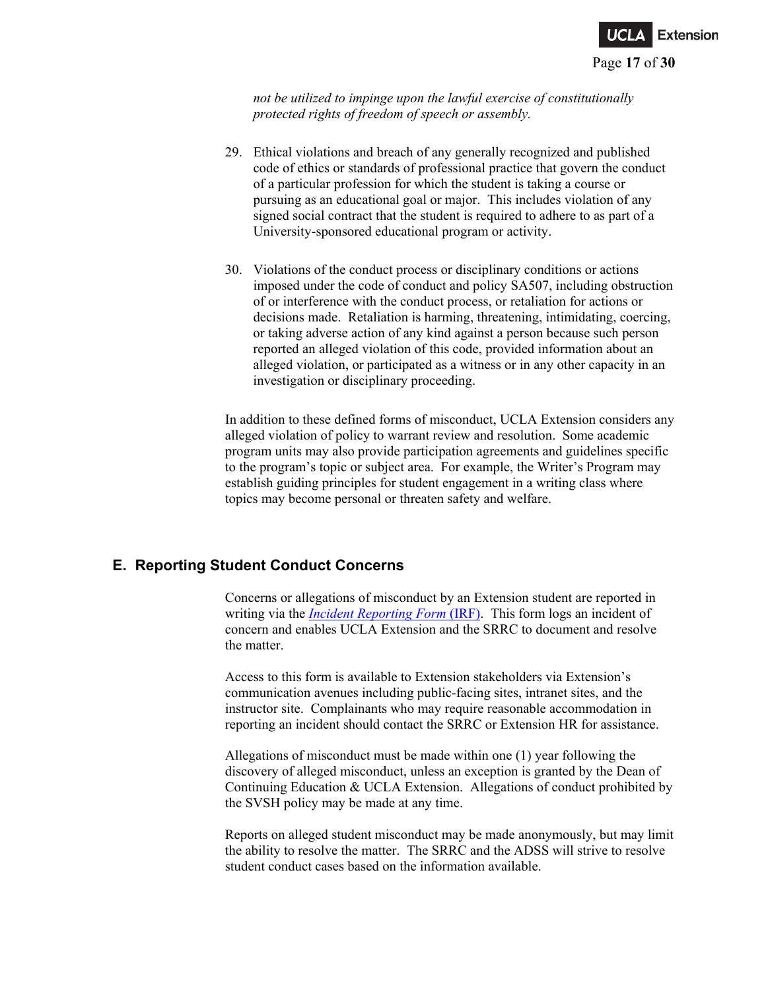

*not be utilized to impinge upon the lawful exercise of constitutionally protected rights of freedom of speech or assembly.*

- 29. Ethical violations and breach of any generally recognized and published code of ethics or standards of professional practice that govern the conduct of a particular profession for which the student is taking a course or pursuing as an educational goal or major. This includes violation of any signed social contract that the student is required to adhere to as part of a University-sponsored educational program or activity.
- 30. Violations of the conduct process or disciplinary conditions or actions imposed under the code of conduct and policy SA507, including obstruction of or interference with the conduct process, or retaliation for actions or decisions made. Retaliation is harming, threatening, intimidating, coercing, or taking adverse action of any kind against a person because such person reported an alleged violation of this code, provided information about an alleged violation, or participated as a witness or in any other capacity in an investigation or disciplinary proceeding.

In addition to these defined forms of misconduct, UCLA Extension considers any alleged violation of policy to warrant review and resolution. Some academic program units may also provide participation agreements and guidelines specific to the program's topic or subject area. For example, the Writer's Program may establish guiding principles for student engagement in a writing class where topics may become personal or threaten safety and welfare.

### **E. Reporting Student Conduct Concerns**

Concerns or allegations of misconduct by an Extension student are reported in writing via the *[Incident Reporting Form](https://incidentreporting.uclaextension.edu/Pages/IncidentForm?sec=)* (IRF). This form logs an incident of concern and enables UCLA Extension and the SRRC to document and resolve the matter.

Access to this form is available to Extension stakeholders via Extension's communication avenues including public-facing sites, intranet sites, and the instructor site. Complainants who may require reasonable accommodation in reporting an incident should contact the SRRC or Extension HR for assistance.

Allegations of misconduct must be made within one (1) year following the discovery of alleged misconduct, unless an exception is granted by the Dean of Continuing Education & UCLA Extension. Allegations of conduct prohibited by the SVSH policy may be made at any time.

Reports on alleged student misconduct may be made anonymously, but may limit the ability to resolve the matter. The SRRC and the ADSS will strive to resolve student conduct cases based on the information available.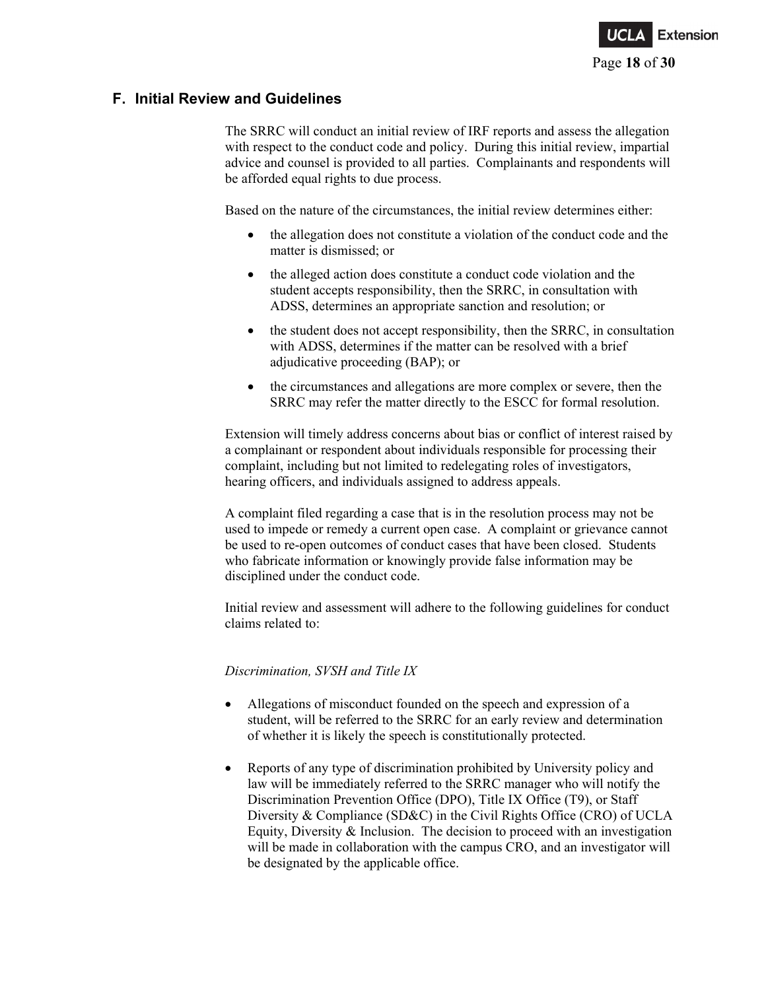

## **F. Initial Review and Guidelines**

The SRRC will conduct an initial review of IRF reports and assess the allegation with respect to the conduct code and policy. During this initial review, impartial advice and counsel is provided to all parties. Complainants and respondents will be afforded equal rights to due process.

Based on the nature of the circumstances, the initial review determines either:

- the allegation does not constitute a violation of the conduct code and the matter is dismissed; or
- the alleged action does constitute a conduct code violation and the student accepts responsibility, then the SRRC, in consultation with ADSS, determines an appropriate sanction and resolution; or
- the student does not accept responsibility, then the SRRC, in consultation with ADSS, determines if the matter can be resolved with a brief adjudicative proceeding (BAP); or
- the circumstances and allegations are more complex or severe, then the SRRC may refer the matter directly to the ESCC for formal resolution.

Extension will timely address concerns about bias or conflict of interest raised by a complainant or respondent about individuals responsible for processing their complaint, including but not limited to redelegating roles of investigators, hearing officers, and individuals assigned to address appeals.

A complaint filed regarding a case that is in the resolution process may not be used to impede or remedy a current open case. A complaint or grievance cannot be used to re-open outcomes of conduct cases that have been closed. Students who fabricate information or knowingly provide false information may be disciplined under the conduct code.

Initial review and assessment will adhere to the following guidelines for conduct claims related to:

### *Discrimination, SVSH and Title IX*

- Allegations of misconduct founded on the speech and expression of a student, will be referred to the SRRC for an early review and determination of whether it is likely the speech is constitutionally protected.
- Reports of any type of discrimination prohibited by University policy and law will be immediately referred to the SRRC manager who will notify the Discrimination Prevention Office (DPO), Title IX Office (T9), or Staff Diversity & Compliance (SD&C) in the Civil Rights Office (CRO) of UCLA Equity, Diversity & Inclusion. The decision to proceed with an investigation will be made in collaboration with the campus CRO, and an investigator will be designated by the applicable office.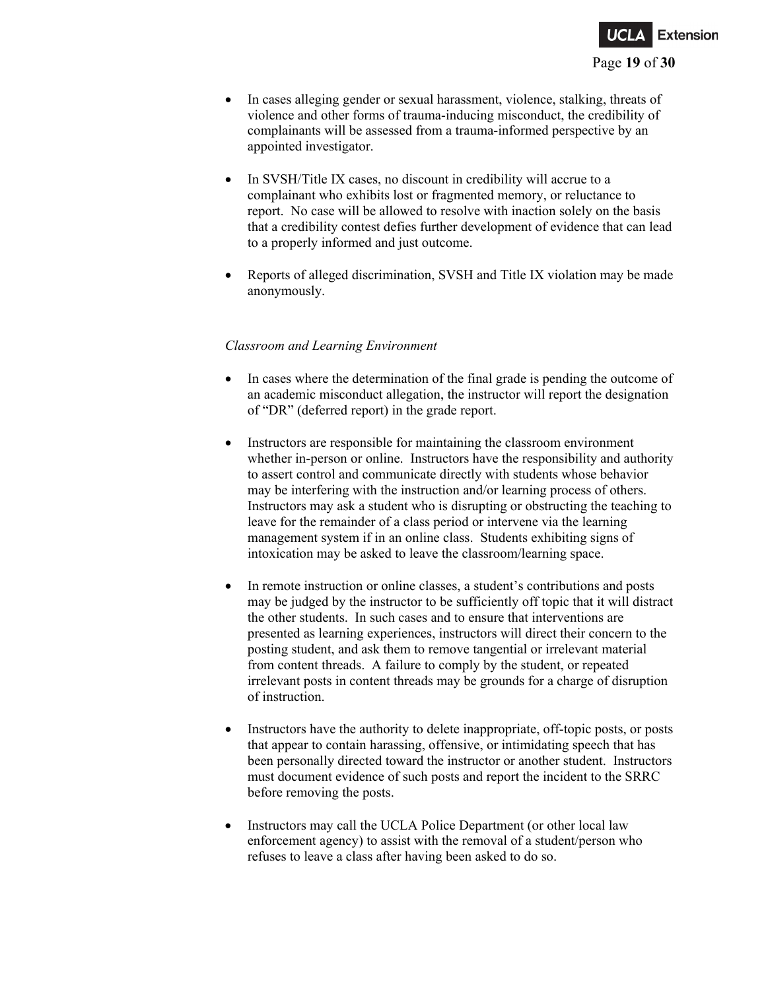

- In cases alleging gender or sexual harassment, violence, stalking, threats of violence and other forms of trauma-inducing misconduct, the credibility of complainants will be assessed from a trauma-informed perspective by an appointed investigator.
- In SVSH/Title IX cases, no discount in credibility will accrue to a complainant who exhibits lost or fragmented memory, or reluctance to report. No case will be allowed to resolve with inaction solely on the basis that a credibility contest defies further development of evidence that can lead to a properly informed and just outcome.
- Reports of alleged discrimination, SVSH and Title IX violation may be made anonymously.

#### *Classroom and Learning Environment*

- In cases where the determination of the final grade is pending the outcome of an academic misconduct allegation, the instructor will report the designation of "DR" (deferred report) in the grade report.
- Instructors are responsible for maintaining the classroom environment whether in-person or online. Instructors have the responsibility and authority to assert control and communicate directly with students whose behavior may be interfering with the instruction and/or learning process of others. Instructors may ask a student who is disrupting or obstructing the teaching to leave for the remainder of a class period or intervene via the learning management system if in an online class. Students exhibiting signs of intoxication may be asked to leave the classroom/learning space.
- In remote instruction or online classes, a student's contributions and posts may be judged by the instructor to be sufficiently off topic that it will distract the other students. In such cases and to ensure that interventions are presented as learning experiences, instructors will direct their concern to the posting student, and ask them to remove tangential or irrelevant material from content threads. A failure to comply by the student, or repeated irrelevant posts in content threads may be grounds for a charge of disruption of instruction.
- Instructors have the authority to delete inappropriate, off-topic posts, or posts that appear to contain harassing, offensive, or intimidating speech that has been personally directed toward the instructor or another student. Instructors must document evidence of such posts and report the incident to the SRRC before removing the posts.
- Instructors may call the UCLA Police Department (or other local law enforcement agency) to assist with the removal of a student/person who refuses to leave a class after having been asked to do so.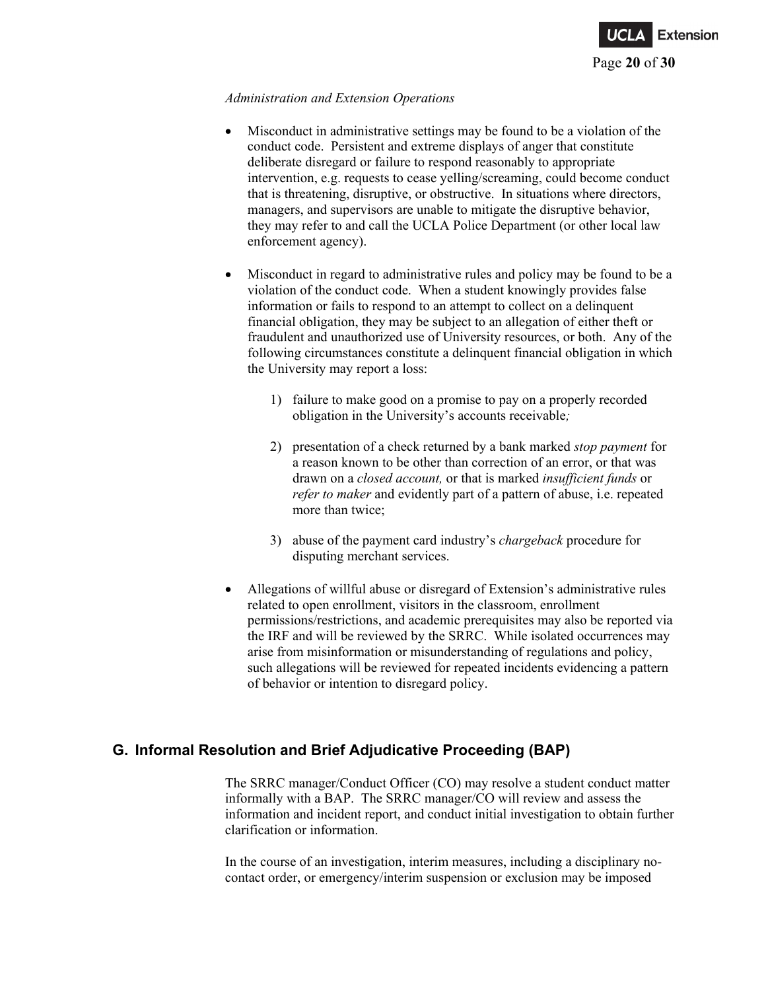

#### *Administration and Extension Operations*

- Misconduct in administrative settings may be found to be a violation of the conduct code. Persistent and extreme displays of anger that constitute deliberate disregard or failure to respond reasonably to appropriate intervention, e.g. requests to cease yelling/screaming, could become conduct that is threatening, disruptive, or obstructive. In situations where directors, managers, and supervisors are unable to mitigate the disruptive behavior, they may refer to and call the UCLA Police Department (or other local law enforcement agency).
- Misconduct in regard to administrative rules and policy may be found to be a violation of the conduct code. When a student knowingly provides false information or fails to respond to an attempt to collect on a delinquent financial obligation, they may be subject to an allegation of either theft or fraudulent and unauthorized use of University resources, or both. Any of the following circumstances constitute a delinquent financial obligation in which the University may report a loss:
	- 1) failure to make good on a promise to pay on a properly recorded obligation in the University's accounts receivable*;*
	- 2) presentation of a check returned by a bank marked *stop payment* for a reason known to be other than correction of an error, or that was drawn on a *closed account,* or that is marked *insufficient funds* or *refer to maker* and evidently part of a pattern of abuse, i.e. repeated more than twice;
	- 3) abuse of the payment card industry's *chargeback* procedure for disputing merchant services.
- Allegations of willful abuse or disregard of Extension's administrative rules related to open enrollment, visitors in the classroom, enrollment permissions/restrictions, and academic prerequisites may also be reported via the IRF and will be reviewed by the SRRC. While isolated occurrences may arise from misinformation or misunderstanding of regulations and policy, such allegations will be reviewed for repeated incidents evidencing a pattern of behavior or intention to disregard policy.

# **G. Informal Resolution and Brief Adjudicative Proceeding (BAP)**

The SRRC manager/Conduct Officer (CO) may resolve a student conduct matter informally with a BAP. The SRRC manager/CO will review and assess the information and incident report, and conduct initial investigation to obtain further clarification or information.

In the course of an investigation, interim measures, including a disciplinary nocontact order, or emergency/interim suspension or exclusion may be imposed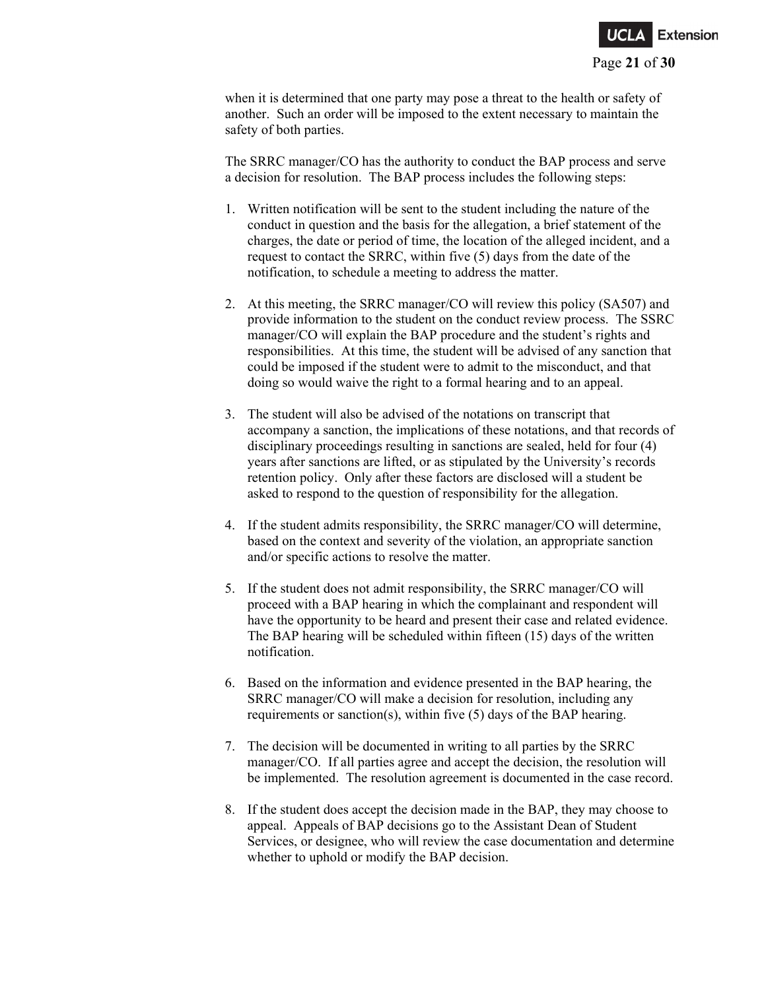

when it is determined that one party may pose a threat to the health or safety of another. Such an order will be imposed to the extent necessary to maintain the safety of both parties.

The SRRC manager/CO has the authority to conduct the BAP process and serve a decision for resolution. The BAP process includes the following steps:

- 1. Written notification will be sent to the student including the nature of the conduct in question and the basis for the allegation, a brief statement of the charges, the date or period of time, the location of the alleged incident, and a request to contact the SRRC, within five (5) days from the date of the notification, to schedule a meeting to address the matter.
- 2. At this meeting, the SRRC manager/CO will review this policy (SA507) and provide information to the student on the conduct review process. The SSRC manager/CO will explain the BAP procedure and the student's rights and responsibilities. At this time, the student will be advised of any sanction that could be imposed if the student were to admit to the misconduct, and that doing so would waive the right to a formal hearing and to an appeal.
- 3. The student will also be advised of the notations on transcript that accompany a sanction, the implications of these notations, and that records of disciplinary proceedings resulting in sanctions are sealed, held for four (4) years after sanctions are lifted, or as stipulated by the University's records retention policy. Only after these factors are disclosed will a student be asked to respond to the question of responsibility for the allegation.
- 4. If the student admits responsibility, the SRRC manager/CO will determine, based on the context and severity of the violation, an appropriate sanction and/or specific actions to resolve the matter.
- 5. If the student does not admit responsibility, the SRRC manager/CO will proceed with a BAP hearing in which the complainant and respondent will have the opportunity to be heard and present their case and related evidence. The BAP hearing will be scheduled within fifteen (15) days of the written notification.
- 6. Based on the information and evidence presented in the BAP hearing, the SRRC manager/CO will make a decision for resolution, including any requirements or sanction(s), within five (5) days of the BAP hearing.
- 7. The decision will be documented in writing to all parties by the SRRC manager/CO. If all parties agree and accept the decision, the resolution will be implemented. The resolution agreement is documented in the case record.
- 8. If the student does accept the decision made in the BAP, they may choose to appeal. Appeals of BAP decisions go to the Assistant Dean of Student Services, or designee, who will review the case documentation and determine whether to uphold or modify the BAP decision.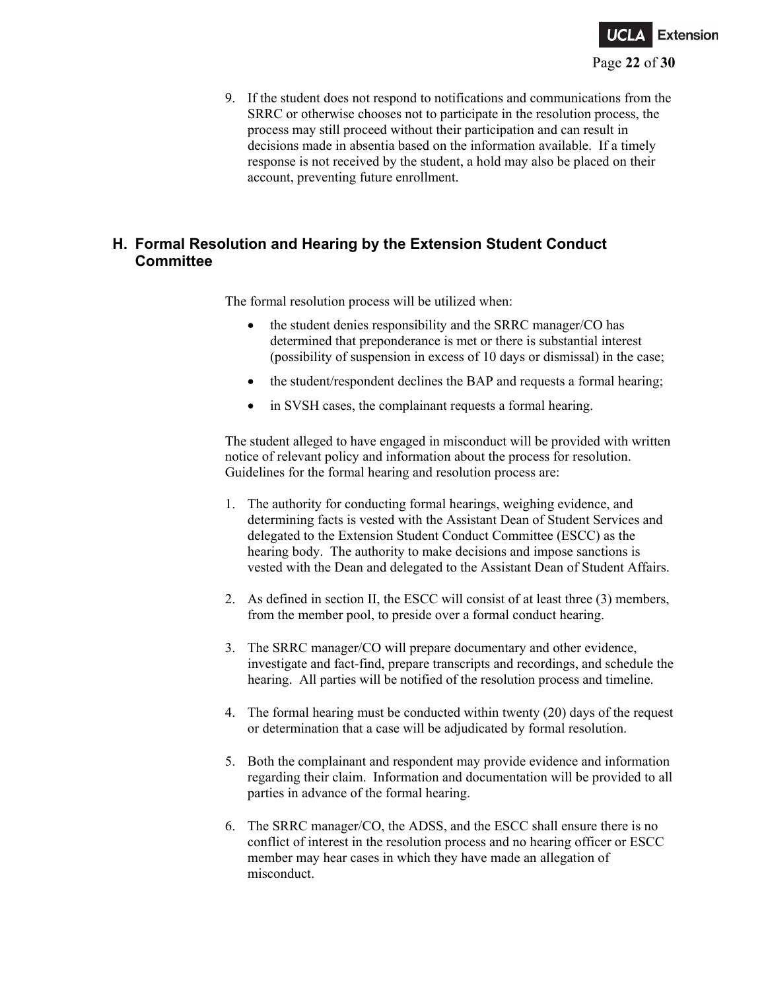

9. If the student does not respond to notifications and communications from the SRRC or otherwise chooses not to participate in the resolution process, the process may still proceed without their participation and can result in decisions made in absentia based on the information available. If a timely response is not received by the student, a hold may also be placed on their account, preventing future enrollment.

# **H. Formal Resolution and Hearing by the Extension Student Conduct Committee**

The formal resolution process will be utilized when:

- the student denies responsibility and the SRRC manager/CO has determined that preponderance is met or there is substantial interest (possibility of suspension in excess of 10 days or dismissal) in the case;
- the student/respondent declines the BAP and requests a formal hearing;
- in SVSH cases, the complainant requests a formal hearing.

The student alleged to have engaged in misconduct will be provided with written notice of relevant policy and information about the process for resolution. Guidelines for the formal hearing and resolution process are:

- 1. The authority for conducting formal hearings, weighing evidence, and determining facts is vested with the Assistant Dean of Student Services and delegated to the Extension Student Conduct Committee (ESCC) as the hearing body. The authority to make decisions and impose sanctions is vested with the Dean and delegated to the Assistant Dean of Student Affairs.
- 2. As defined in section II, the ESCC will consist of at least three (3) members, from the member pool, to preside over a formal conduct hearing.
- 3. The SRRC manager/CO will prepare documentary and other evidence, investigate and fact-find, prepare transcripts and recordings, and schedule the hearing. All parties will be notified of the resolution process and timeline.
- 4. The formal hearing must be conducted within twenty (20) days of the request or determination that a case will be adjudicated by formal resolution.
- 5. Both the complainant and respondent may provide evidence and information regarding their claim. Information and documentation will be provided to all parties in advance of the formal hearing.
- 6. The SRRC manager/CO, the ADSS, and the ESCC shall ensure there is no conflict of interest in the resolution process and no hearing officer or ESCC member may hear cases in which they have made an allegation of misconduct.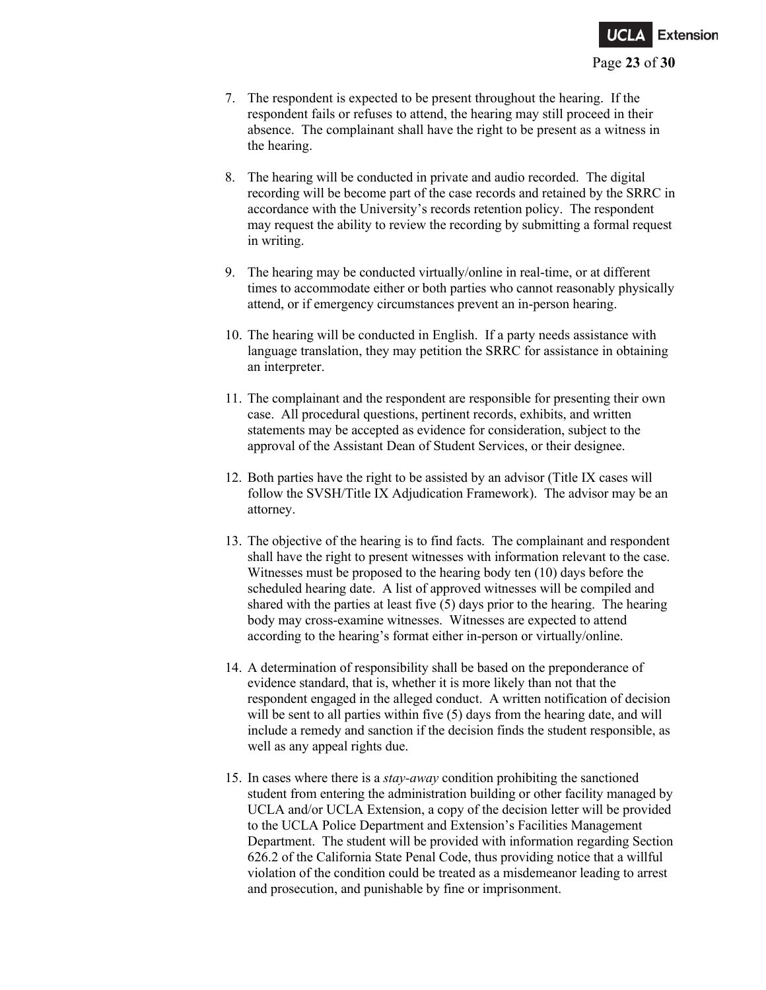

- 7. The respondent is expected to be present throughout the hearing. If the respondent fails or refuses to attend, the hearing may still proceed in their absence. The complainant shall have the right to be present as a witness in the hearing.
- 8. The hearing will be conducted in private and audio recorded. The digital recording will be become part of the case records and retained by the SRRC in accordance with the University's records retention policy. The respondent may request the ability to review the recording by submitting a formal request in writing.
- 9. The hearing may be conducted virtually/online in real-time, or at different times to accommodate either or both parties who cannot reasonably physically attend, or if emergency circumstances prevent an in-person hearing.
- 10. The hearing will be conducted in English. If a party needs assistance with language translation, they may petition the SRRC for assistance in obtaining an interpreter.
- 11. The complainant and the respondent are responsible for presenting their own case. All procedural questions, pertinent records, exhibits, and written statements may be accepted as evidence for consideration, subject to the approval of the Assistant Dean of Student Services, or their designee.
- 12. Both parties have the right to be assisted by an advisor (Title IX cases will follow the SVSH/Title IX Adjudication Framework). The advisor may be an attorney.
- 13. The objective of the hearing is to find facts. The complainant and respondent shall have the right to present witnesses with information relevant to the case. Witnesses must be proposed to the hearing body ten (10) days before the scheduled hearing date. A list of approved witnesses will be compiled and shared with the parties at least five (5) days prior to the hearing. The hearing body may cross-examine witnesses. Witnesses are expected to attend according to the hearing's format either in-person or virtually/online.
- 14. A determination of responsibility shall be based on the preponderance of evidence standard, that is, whether it is more likely than not that the respondent engaged in the alleged conduct. A written notification of decision will be sent to all parties within five (5) days from the hearing date, and will include a remedy and sanction if the decision finds the student responsible, as well as any appeal rights due.
- 15. In cases where there is a *stay-away* condition prohibiting the sanctioned student from entering the administration building or other facility managed by UCLA and/or UCLA Extension, a copy of the decision letter will be provided to the UCLA Police Department and Extension's Facilities Management Department. The student will be provided with information regarding Section 626.2 of the California State Penal Code, thus providing notice that a willful violation of the condition could be treated as a misdemeanor leading to arrest and prosecution, and punishable by fine or imprisonment.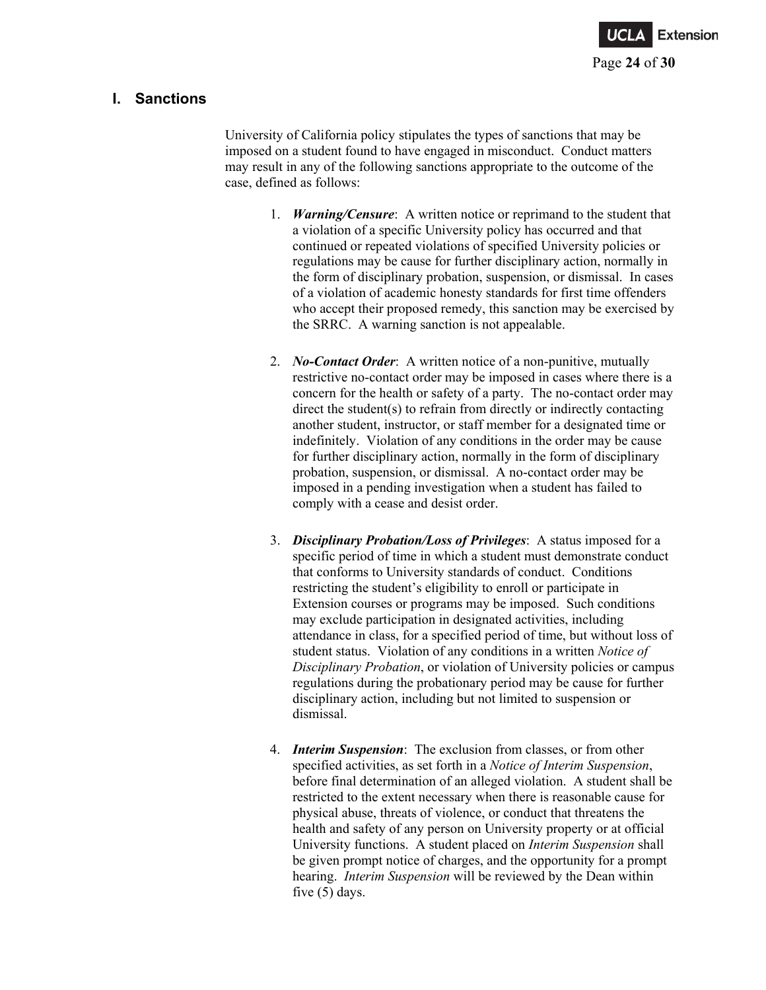

## **I. Sanctions**

University of California policy stipulates the types of sanctions that may be imposed on a student found to have engaged in misconduct. Conduct matters may result in any of the following sanctions appropriate to the outcome of the case, defined as follows:

- 1. *Warning/Censure*: A written notice or reprimand to the student that a violation of a specific University policy has occurred and that continued or repeated violations of specified University policies or regulations may be cause for further disciplinary action, normally in the form of disciplinary probation, suspension, or dismissal. In cases of a violation of academic honesty standards for first time offenders who accept their proposed remedy, this sanction may be exercised by the SRRC. A warning sanction is not appealable.
- 2. *No-Contact Order*: A written notice of a non-punitive, mutually restrictive no-contact order may be imposed in cases where there is a concern for the health or safety of a party. The no-contact order may direct the student(s) to refrain from directly or indirectly contacting another student, instructor, or staff member for a designated time or indefinitely. Violation of any conditions in the order may be cause for further disciplinary action, normally in the form of disciplinary probation, suspension, or dismissal. A no-contact order may be imposed in a pending investigation when a student has failed to comply with a cease and desist order.
- 3. *Disciplinary Probation/Loss of Privileges*: A status imposed for a specific period of time in which a student must demonstrate conduct that conforms to University standards of conduct. Conditions restricting the student's eligibility to enroll or participate in Extension courses or programs may be imposed. Such conditions may exclude participation in designated activities, including attendance in class, for a specified period of time, but without loss of student status. Violation of any conditions in a written *Notice of Disciplinary Probation*, or violation of University policies or campus regulations during the probationary period may be cause for further disciplinary action, including but not limited to suspension or dismissal.
- 4. *Interim Suspension*: The exclusion from classes, or from other specified activities, as set forth in a *Notice of Interim Suspension*, before final determination of an alleged violation. A student shall be restricted to the extent necessary when there is reasonable cause for physical abuse, threats of violence, or conduct that threatens the health and safety of any person on University property or at official University functions. A student placed on *Interim Suspension* shall be given prompt notice of charges, and the opportunity for a prompt hearing. *Interim Suspension* will be reviewed by the Dean within five (5) days.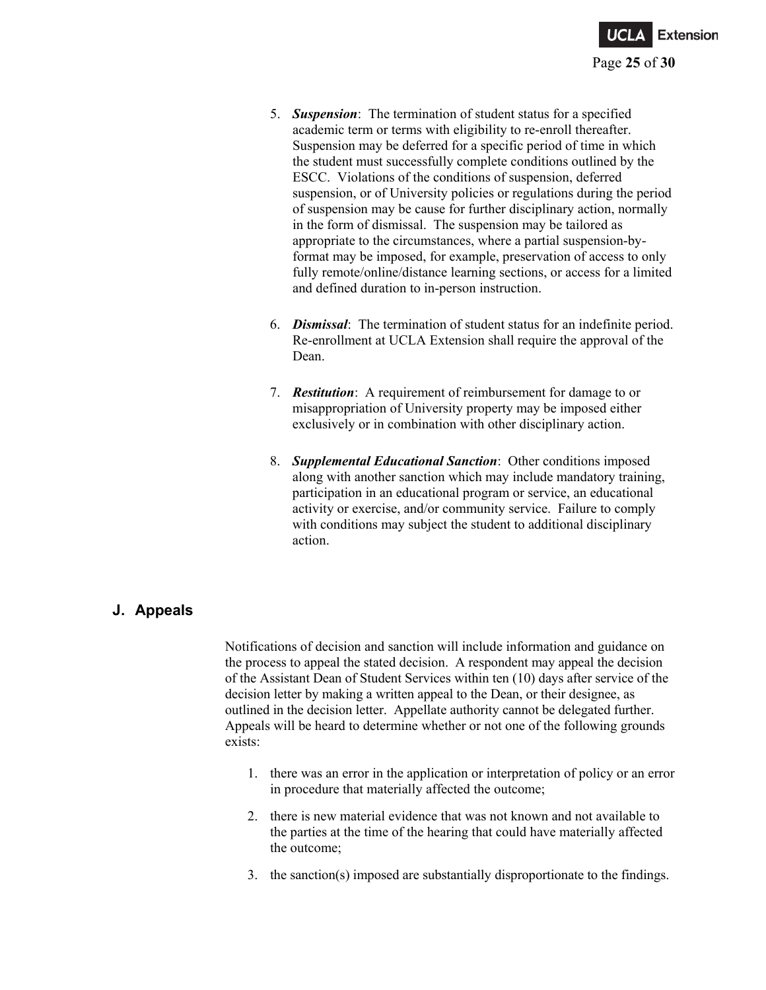

- 5. *Suspension*: The termination of student status for a specified academic term or terms with eligibility to re-enroll thereafter. Suspension may be deferred for a specific period of time in which the student must successfully complete conditions outlined by the ESCC. Violations of the conditions of suspension, deferred suspension, or of University policies or regulations during the period of suspension may be cause for further disciplinary action, normally in the form of dismissal. The suspension may be tailored as appropriate to the circumstances, where a partial suspension-byformat may be imposed, for example, preservation of access to only fully remote/online/distance learning sections, or access for a limited and defined duration to in-person instruction.
- 6. *Dismissal*: The termination of student status for an indefinite period. Re-enrollment at UCLA Extension shall require the approval of the Dean.
- 7. *Restitution*: A requirement of reimbursement for damage to or misappropriation of University property may be imposed either exclusively or in combination with other disciplinary action.
- 8. *Supplemental Educational Sanction*: Other conditions imposed along with another sanction which may include mandatory training, participation in an educational program or service, an educational activity or exercise, and/or community service. Failure to comply with conditions may subject the student to additional disciplinary action.

## **J. Appeals**

Notifications of decision and sanction will include information and guidance on the process to appeal the stated decision. A respondent may appeal the decision of the Assistant Dean of Student Services within ten (10) days after service of the decision letter by making a written appeal to the Dean, or their designee, as outlined in the decision letter. Appellate authority cannot be delegated further. Appeals will be heard to determine whether or not one of the following grounds exists:

- 1. there was an error in the application or interpretation of policy or an error in procedure that materially affected the outcome;
- 2. there is new material evidence that was not known and not available to the parties at the time of the hearing that could have materially affected the outcome;
- 3. the sanction(s) imposed are substantially disproportionate to the findings.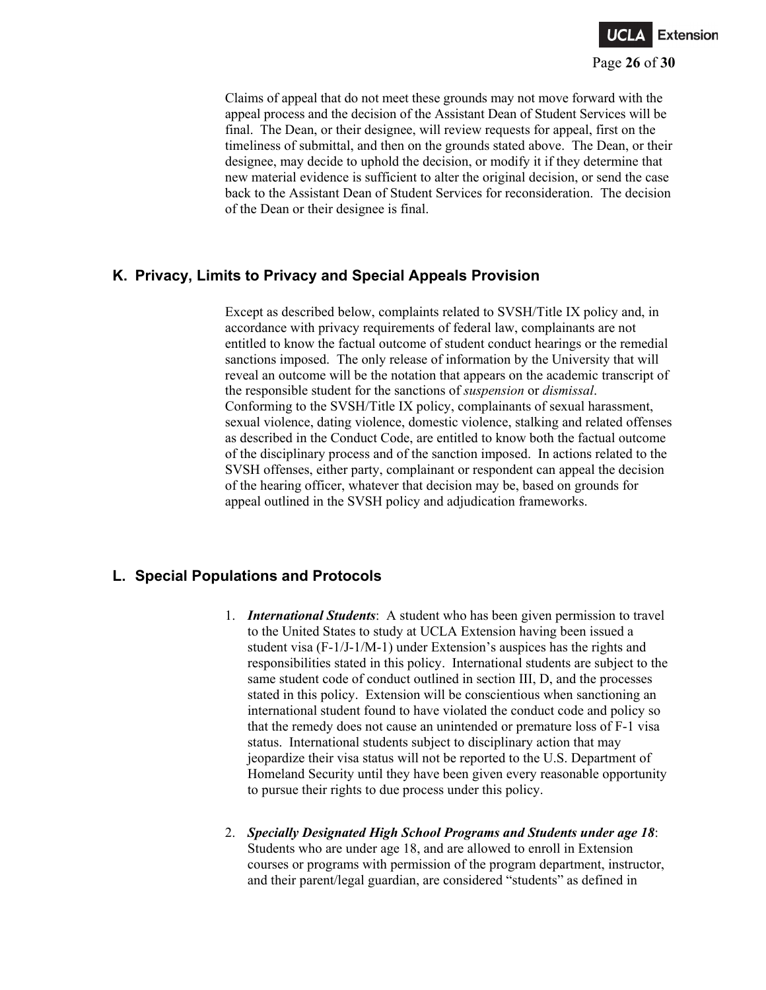

Claims of appeal that do not meet these grounds may not move forward with the appeal process and the decision of the Assistant Dean of Student Services will be final. The Dean, or their designee, will review requests for appeal, first on the timeliness of submittal, and then on the grounds stated above. The Dean, or their designee, may decide to uphold the decision, or modify it if they determine that new material evidence is sufficient to alter the original decision, or send the case back to the Assistant Dean of Student Services for reconsideration. The decision of the Dean or their designee is final.

## **K. Privacy, Limits to Privacy and Special Appeals Provision**

Except as described below, complaints related to SVSH/Title IX policy and, in accordance with privacy requirements of federal law, complainants are not entitled to know the factual outcome of student conduct hearings or the remedial sanctions imposed. The only release of information by the University that will reveal an outcome will be the notation that appears on the academic transcript of the responsible student for the sanctions of *suspension* or *dismissal*. Conforming to the SVSH/Title IX policy, complainants of sexual harassment, sexual violence, dating violence, domestic violence, stalking and related offenses as described in the Conduct Code, are entitled to know both the factual outcome of the disciplinary process and of the sanction imposed. In actions related to the SVSH offenses, either party, complainant or respondent can appeal the decision of the hearing officer, whatever that decision may be, based on grounds for appeal outlined in the SVSH policy and adjudication frameworks.

# **L. Special Populations and Protocols**

- 1. *International Students*: A student who has been given permission to travel to the United States to study at UCLA Extension having been issued a student visa (F-1/J-1/M-1) under Extension's auspices has the rights and responsibilities stated in this policy. International students are subject to the same student code of conduct outlined in section III, D, and the processes stated in this policy. Extension will be conscientious when sanctioning an international student found to have violated the conduct code and policy so that the remedy does not cause an unintended or premature loss of F-1 visa status. International students subject to disciplinary action that may jeopardize their visa status will not be reported to the U.S. Department of Homeland Security until they have been given every reasonable opportunity to pursue their rights to due process under this policy.
- 2. *Specially Designated High School Programs and Students under age 18*: Students who are under age 18, and are allowed to enroll in Extension courses or programs with permission of the program department, instructor, and their parent/legal guardian, are considered "students" as defined in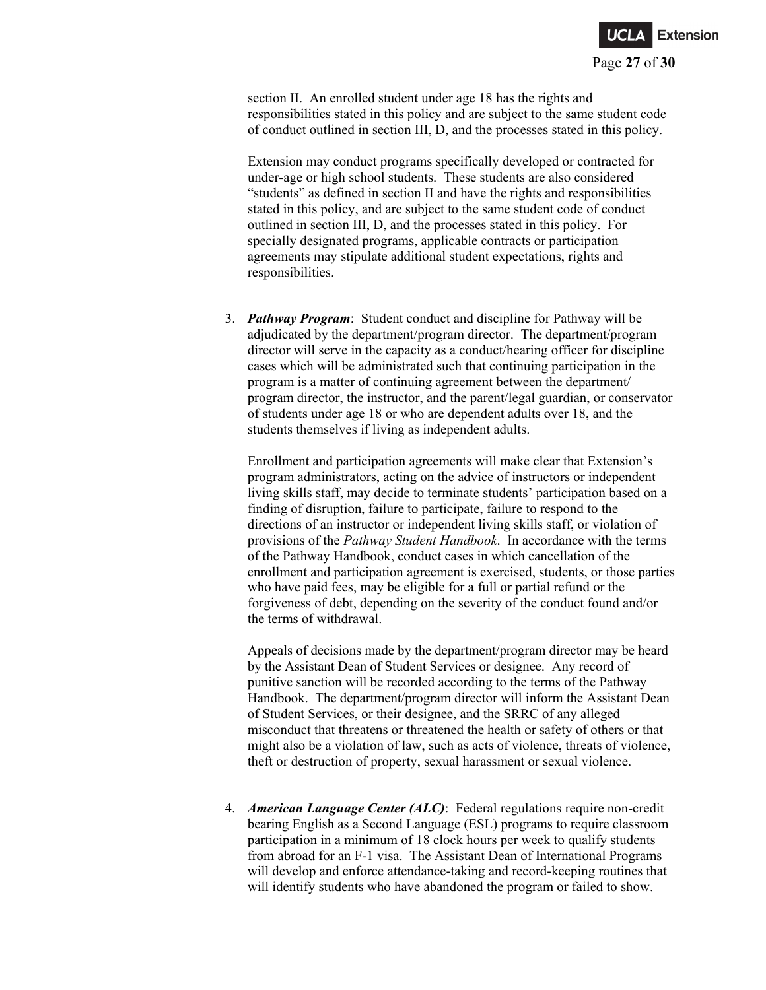

section II. An enrolled student under age 18 has the rights and responsibilities stated in this policy and are subject to the same student code of conduct outlined in section III, D, and the processes stated in this policy.

Extension may conduct programs specifically developed or contracted for under-age or high school students. These students are also considered "students" as defined in section II and have the rights and responsibilities stated in this policy, and are subject to the same student code of conduct outlined in section III, D, and the processes stated in this policy. For specially designated programs, applicable contracts or participation agreements may stipulate additional student expectations, rights and responsibilities.

3. *Pathway Program*: Student conduct and discipline for Pathway will be adjudicated by the department/program director. The department/program director will serve in the capacity as a conduct/hearing officer for discipline cases which will be administrated such that continuing participation in the program is a matter of continuing agreement between the department/ program director, the instructor, and the parent/legal guardian, or conservator of students under age 18 or who are dependent adults over 18, and the students themselves if living as independent adults.

Enrollment and participation agreements will make clear that Extension's program administrators, acting on the advice of instructors or independent living skills staff, may decide to terminate students' participation based on a finding of disruption, failure to participate, failure to respond to the directions of an instructor or independent living skills staff, or violation of provisions of the *Pathway Student Handbook*. In accordance with the terms of the Pathway Handbook, conduct cases in which cancellation of the enrollment and participation agreement is exercised, students, or those parties who have paid fees, may be eligible for a full or partial refund or the forgiveness of debt, depending on the severity of the conduct found and/or the terms of withdrawal.

Appeals of decisions made by the department/program director may be heard by the Assistant Dean of Student Services or designee. Any record of punitive sanction will be recorded according to the terms of the Pathway Handbook. The department/program director will inform the Assistant Dean of Student Services, or their designee, and the SRRC of any alleged misconduct that threatens or threatened the health or safety of others or that might also be a violation of law, such as acts of violence, threats of violence, theft or destruction of property, sexual harassment or sexual violence.

4. *American Language Center (ALC)*: Federal regulations require non-credit bearing English as a Second Language (ESL) programs to require classroom participation in a minimum of 18 clock hours per week to qualify students from abroad for an F-1 visa. The Assistant Dean of International Programs will develop and enforce attendance-taking and record-keeping routines that will identify students who have abandoned the program or failed to show.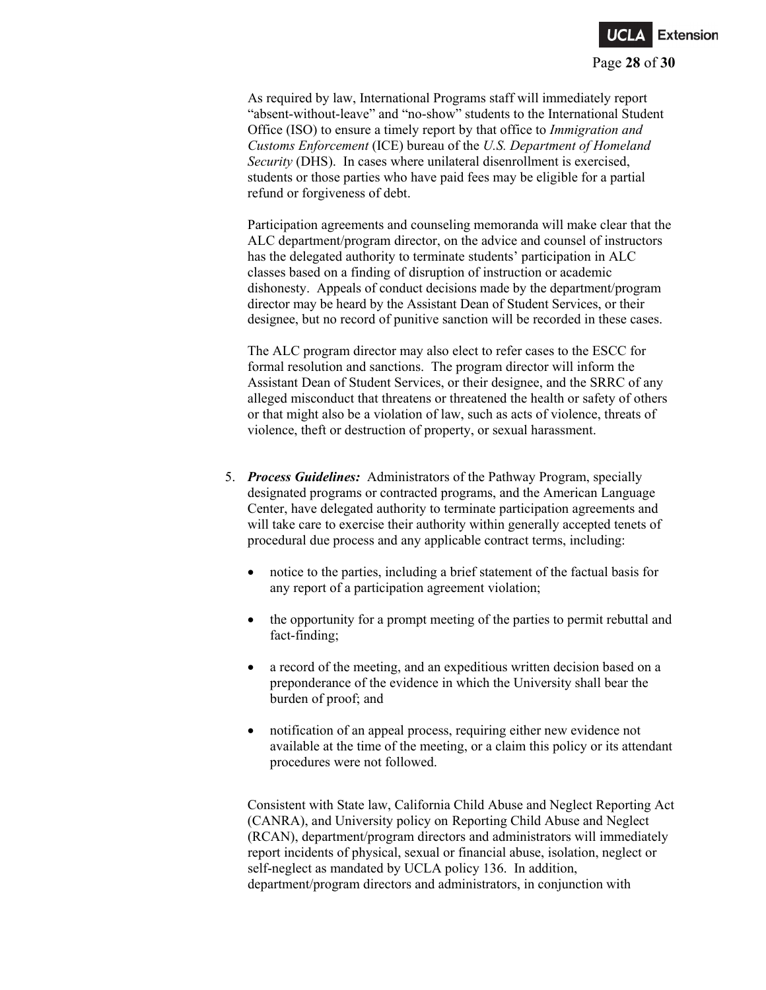

As required by law, International Programs staff will immediately report "absent-without-leave" and "no-show" students to the International Student Office (ISO) to ensure a timely report by that office to *Immigration and Customs Enforcement* (ICE) bureau of the *U.S. Department of Homeland Security* (DHS). In cases where unilateral disenrollment is exercised, students or those parties who have paid fees may be eligible for a partial refund or forgiveness of debt.

Participation agreements and counseling memoranda will make clear that the ALC department/program director, on the advice and counsel of instructors has the delegated authority to terminate students' participation in ALC classes based on a finding of disruption of instruction or academic dishonesty. Appeals of conduct decisions made by the department/program director may be heard by the Assistant Dean of Student Services, or their designee, but no record of punitive sanction will be recorded in these cases.

The ALC program director may also elect to refer cases to the ESCC for formal resolution and sanctions. The program director will inform the Assistant Dean of Student Services, or their designee, and the SRRC of any alleged misconduct that threatens or threatened the health or safety of others or that might also be a violation of law, such as acts of violence, threats of violence, theft or destruction of property, or sexual harassment.

- 5. *Process Guidelines:* Administrators of the Pathway Program, specially designated programs or contracted programs, and the American Language Center, have delegated authority to terminate participation agreements and will take care to exercise their authority within generally accepted tenets of procedural due process and any applicable contract terms, including:
	- notice to the parties, including a brief statement of the factual basis for any report of a participation agreement violation;
	- the opportunity for a prompt meeting of the parties to permit rebuttal and fact-finding;
	- a record of the meeting, and an expeditious written decision based on a preponderance of the evidence in which the University shall bear the burden of proof; and
	- notification of an appeal process, requiring either new evidence not available at the time of the meeting, or a claim this policy or its attendant procedures were not followed.

Consistent with State law, California Child Abuse and Neglect Reporting Act (CANRA), and University policy on Reporting Child Abuse and Neglect (RCAN), department/program directors and administrators will immediately report incidents of physical, sexual or financial abuse, isolation, neglect or self-neglect as mandated by UCLA policy 136. In addition, department/program directors and administrators, in conjunction with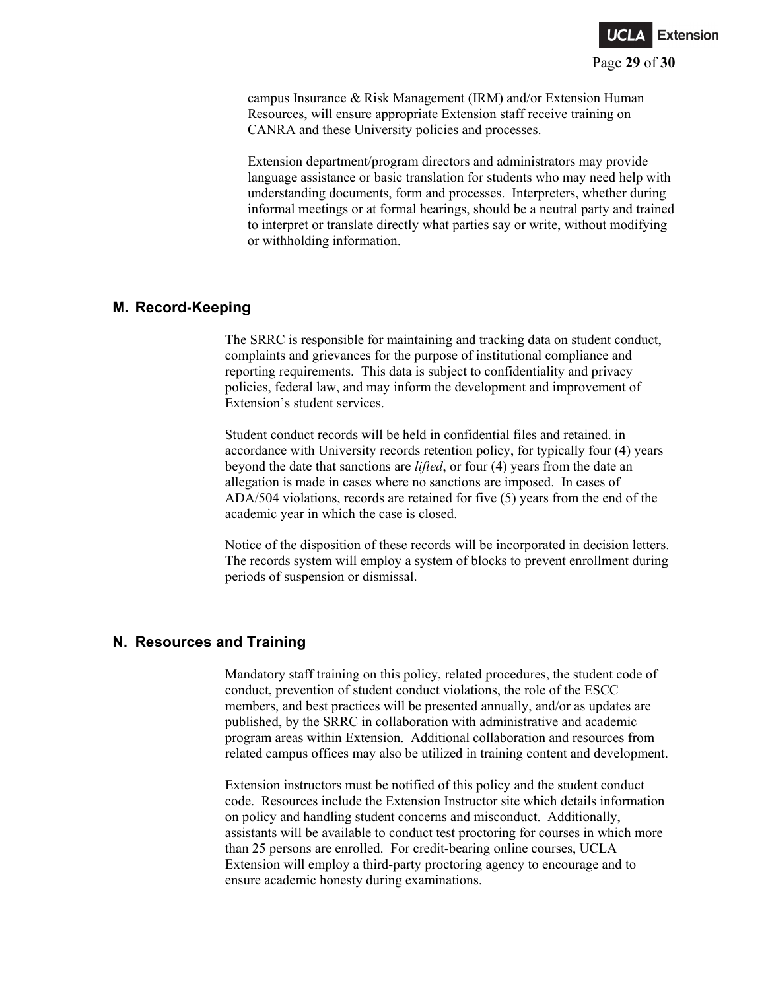

campus Insurance & Risk Management (IRM) and/or Extension Human Resources, will ensure appropriate Extension staff receive training on CANRA and these University policies and processes.

Extension department/program directors and administrators may provide language assistance or basic translation for students who may need help with understanding documents, form and processes. Interpreters, whether during informal meetings or at formal hearings, should be a neutral party and trained to interpret or translate directly what parties say or write, without modifying or withholding information.

### **M. Record-Keeping**

The SRRC is responsible for maintaining and tracking data on student conduct, complaints and grievances for the purpose of institutional compliance and reporting requirements. This data is subject to confidentiality and privacy policies, federal law, and may inform the development and improvement of Extension's student services.

Student conduct records will be held in confidential files and retained. in accordance with University records retention policy, for typically four (4) years beyond the date that sanctions are *lifted*, or four (4) years from the date an allegation is made in cases where no sanctions are imposed. In cases of ADA/504 violations, records are retained for five (5) years from the end of the academic year in which the case is closed.

Notice of the disposition of these records will be incorporated in decision letters. The records system will employ a system of blocks to prevent enrollment during periods of suspension or dismissal.

### **N. Resources and Training**

Mandatory staff training on this policy, related procedures, the student code of conduct, prevention of student conduct violations, the role of the ESCC members, and best practices will be presented annually, and/or as updates are published, by the SRRC in collaboration with administrative and academic program areas within Extension. Additional collaboration and resources from related campus offices may also be utilized in training content and development.

Extension instructors must be notified of this policy and the student conduct code. Resources include the Extension Instructor site which details information on policy and handling student concerns and misconduct. Additionally, assistants will be available to conduct test proctoring for courses in which more than 25 persons are enrolled. For credit-bearing online courses, UCLA Extension will employ a third-party proctoring agency to encourage and to ensure academic honesty during examinations.